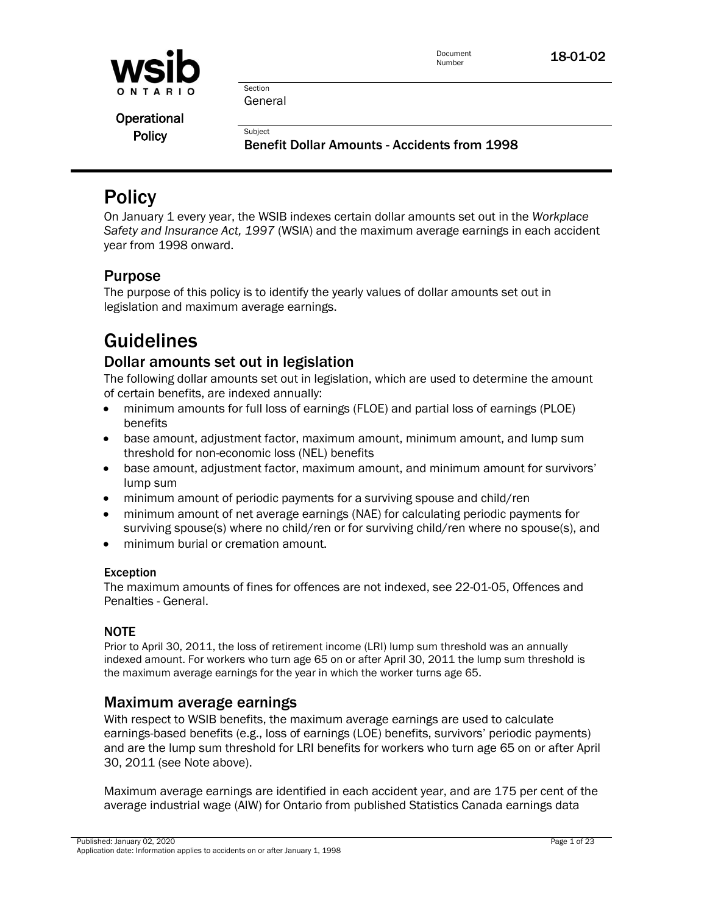

Section General

**Subject** 

**Operational Policy** 

Benefit Dollar Amounts - Accidents from 1998

# **Policy**

On January 1 every year, the WSIB indexes certain dollar amounts set out in the *Workplace Safety and Insurance Act, 1997* (WSIA) and the maximum average earnings in each accident year from 1998 onward.

# Purpose

The purpose of this policy is to identify the yearly values of dollar amounts set out in legislation and maximum average earnings.

# Guidelines

# Dollar amounts set out in legislation

The following dollar amounts set out in legislation, which are used to determine the amount of certain benefits, are indexed annually:

- minimum amounts for full loss of earnings (FLOE) and partial loss of earnings (PLOE) benefits
- base amount, adjustment factor, maximum amount, minimum amount, and lump sum threshold for non-economic loss (NEL) benefits
- base amount, adjustment factor, maximum amount, and minimum amount for survivors' lump sum
- minimum amount of periodic payments for a surviving spouse and child/ren
- minimum amount of net average earnings (NAE) for calculating periodic payments for surviving spouse(s) where no child/ren or for surviving child/ren where no spouse(s), and
- minimum burial or cremation amount.

# Exception

The maximum amounts of fines for offences are not indexed, see 22-01-05, Offences and Penalties - General.

# NOTE

Prior to April 30, 2011, the loss of retirement income (LRI) lump sum threshold was an annually indexed amount. For workers who turn age 65 on or after April 30, 2011 the lump sum threshold is the maximum average earnings for the year in which the worker turns age 65.

# Maximum average earnings

With respect to WSIB benefits, the maximum average earnings are used to calculate earnings-based benefits (e.g., loss of earnings (LOE) benefits, survivors' periodic payments) and are the lump sum threshold for LRI benefits for workers who turn age 65 on or after April 30, 2011 (see Note above).

Maximum average earnings are identified in each accident year, and are 175 per cent of the average industrial wage (AIW) for Ontario from published Statistics Canada earnings data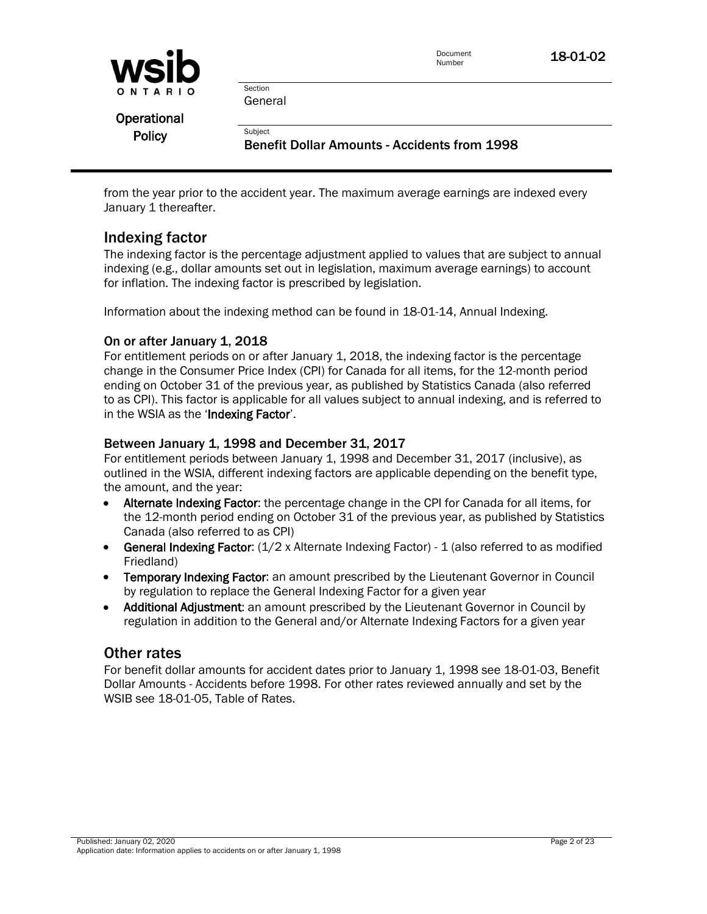

General

Section

**Subject** 

**Operational Policy** 

Benefit Dollar Amounts - Accidents from 1998

from the year prior to the accident year. The maximum average earnings are indexed every January 1 thereafter.

# Indexing factor

The indexing factor is the percentage adjustment applied to values that are subject to annual indexing (e.g., dollar amounts set out in legislation, maximum average earnings) to account for inflation. The indexing factor is prescribed by legislation.

Information about the indexing method can be found in 18-01-14, Annual Indexing.

# On or after January 1, 2018

For entitlement periods on or after January 1, 2018, the indexing factor is the percentage change in the Consumer Price Index (CPI) for Canada for all items, for the 12-month period ending on October 31 of the previous year, as published by Statistics Canada (also referred to as CPI). This factor is applicable for all values subject to annual indexing, and is referred to in the WSIA as the 'Indexing Factor'.

# Between January 1, 1998 and December 31, 2017

For entitlement periods between January 1, 1998 and December 31, 2017 (inclusive), as outlined in the WSIA, different indexing factors are applicable depending on the benefit type, the amount, and the year:

- Alternate Indexing Factor: the percentage change in the CPI for Canada for all items, for the 12-month period ending on October 31 of the previous year, as published by Statistics Canada (also referred to as CPI)
- **General Indexing Factor:**  $(1/2 \times$  Alternate Indexing Factor) 1 (also referred to as modified Friedland)
- Temporary Indexing Factor: an amount prescribed by the Lieutenant Governor in Council by regulation to replace the General Indexing Factor for a given year
- Additional Adjustment: an amount prescribed by the Lieutenant Governor in Council by regulation in addition to the General and/or Alternate Indexing Factors for a given year

# Other rates

For benefit dollar amounts for accident dates prior to January 1, 1998 see [18-01-03, Benefit](policy:18-01-03)  Dollar Amounts - [Accidents before 1998.](policy:18-01-03) For other rates reviewed annually and set by the WSIB se[e 18-01-05, Table of Rates.](policy:18-01-05)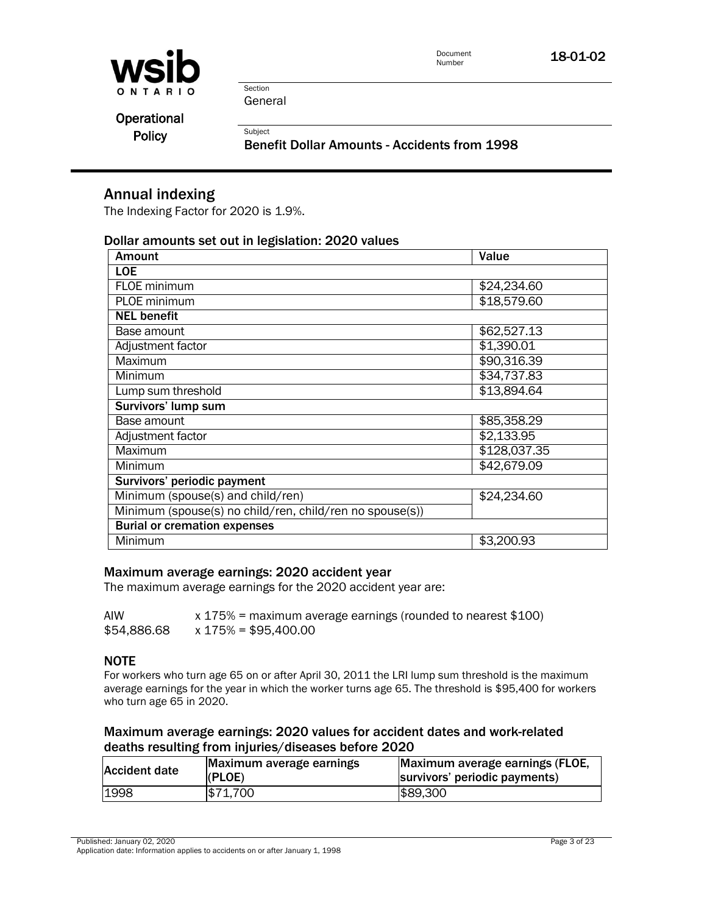

General

Section

Subject

**Operational** 

**Policy** 

Benefit Dollar Amounts - Accidents from 1998

# Annual indexing

The Indexing Factor for 2020 is 1.9%.

### Dollar amounts set out in legislation: 2020 values

| <b>Amount</b>                                            | Value        |  |  |  |  |
|----------------------------------------------------------|--------------|--|--|--|--|
| <b>LOE</b>                                               |              |  |  |  |  |
| FLOE minimum                                             | \$24,234.60  |  |  |  |  |
| PLOE minimum                                             | \$18,579.60  |  |  |  |  |
| <b>NEL benefit</b>                                       |              |  |  |  |  |
| Base amount                                              | \$62,527.13  |  |  |  |  |
| Adjustment factor                                        | \$1,390.01   |  |  |  |  |
| Maximum                                                  | \$90,316.39  |  |  |  |  |
| Minimum                                                  | \$34,737.83  |  |  |  |  |
| Lump sum threshold                                       | \$13,894.64  |  |  |  |  |
| Survivors' lump sum                                      |              |  |  |  |  |
| Base amount                                              | \$85,358.29  |  |  |  |  |
| Adjustment factor                                        | \$2,133.95   |  |  |  |  |
| Maximum                                                  | \$128,037.35 |  |  |  |  |
| Minimum                                                  | \$42,679.09  |  |  |  |  |
| Survivors' periodic payment                              |              |  |  |  |  |
| Minimum (spouse(s) and child/ren)                        | \$24,234.60  |  |  |  |  |
| Minimum (spouse(s) no child/ren, child/ren no spouse(s)) |              |  |  |  |  |
| <b>Burial or cremation expenses</b>                      |              |  |  |  |  |
| Minimum                                                  | \$3,200.93   |  |  |  |  |

### Maximum average earnings: 2020 accident year

The maximum average earnings for the 2020 accident year are:

| AIW         | $x$ 175% = maximum average earnings (rounded to nearest \$100) |
|-------------|----------------------------------------------------------------|
| \$54,886.68 | x 175% = \$95,400.00                                           |

### NOTE

For workers who turn age 65 on or after April 30, 2011 the LRI lump sum threshold is the maximum average earnings for the year in which the worker turns age 65. The threshold is \$95,400 for workers who turn age 65 in 2020.

### Maximum average earnings: 2020 values for accident dates and work-related deaths resulting from injuries/diseases before 2020

| Accident date | Maximum average earnings<br>(PLOE) | Maximum average earnings (FLOE,<br>survivors' periodic payments) |
|---------------|------------------------------------|------------------------------------------------------------------|
| 1998          | \$71,700                           | \$89,300                                                         |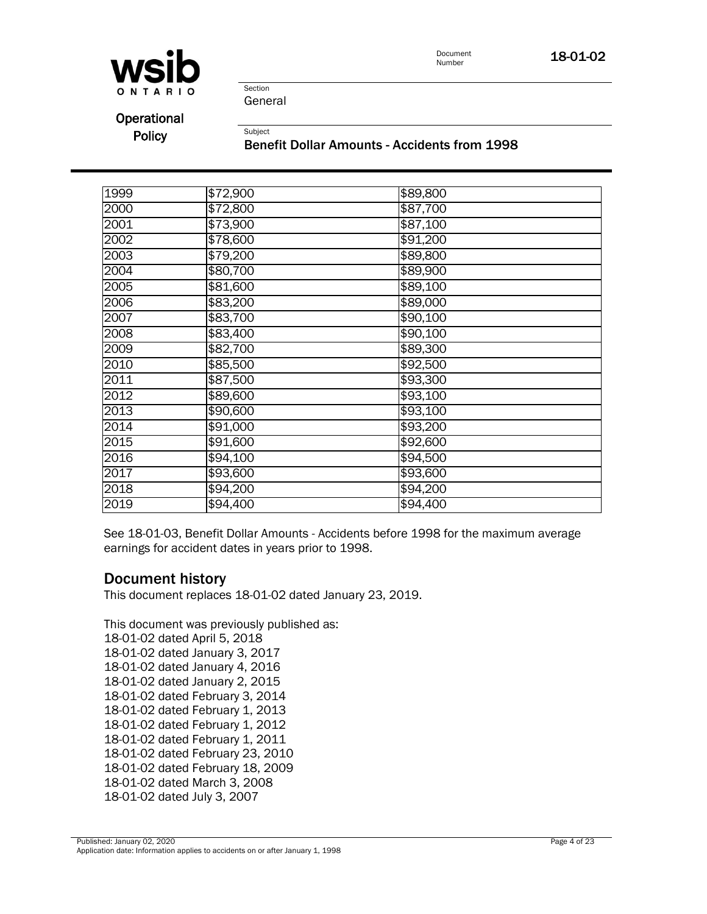

Document **18-01-02**<br>Number



Section General

Subject

**Operational Policy** 

Benefit Dollar Amounts - Accidents from 1998

| 1999              | \$72,900 | \$89,800 |  |
|-------------------|----------|----------|--|
| 2000              | \$72,800 | \$87,700 |  |
| 2001              | \$73,900 | \$87,100 |  |
| 2002              | \$78,600 | \$91,200 |  |
| 2003              | \$79,200 | \$89,800 |  |
| 2004              | \$80,700 | \$89,900 |  |
| 2005              | \$81,600 | \$89,100 |  |
| 2006              | \$83,200 | \$89,000 |  |
| 2007              | \$83,700 | \$90,100 |  |
| 2008              | \$83,400 | \$90,100 |  |
| 2009              | \$82,700 | \$89,300 |  |
| 2010              | \$85,500 | \$92,500 |  |
| 2011              | \$87,500 | \$93,300 |  |
| $\overline{2012}$ | \$89,600 | \$93,100 |  |
| 2013              | \$90,600 | \$93,100 |  |
| 2014              | \$91,000 | \$93,200 |  |
| 2015              | \$91,600 | \$92,600 |  |
| 2016              | \$94,100 | \$94,500 |  |
| 2017              | \$93,600 | \$93,600 |  |
| 2018              | \$94,200 | \$94,200 |  |
| 2019              | \$94,400 | \$94,400 |  |

See 18-01-03, Benefit Dollar Amounts - Accidents before 1998 for the maximum average earnings for accident dates in years prior to 1998.

# Document history

This document replaces 18-01-02 dated January 23, 2019.

This document was previously published as: 18-01-02 dated April 5, 2018 18-01-02 dated January 3, 2017 18-01-02 dated January 4, 2016 18-01-02 dated January 2, 2015 18-01-02 dated February 3, 2014 18-01-02 dated February 1, 2013 18-01-02 dated February 1, 2012 18-01-02 dated February 1, 2011 18-01-02 dated February 23, 2010 18-01-02 dated February 18, 2009 18-01-02 dated March 3, 2008 18-01-02 dated July 3, 2007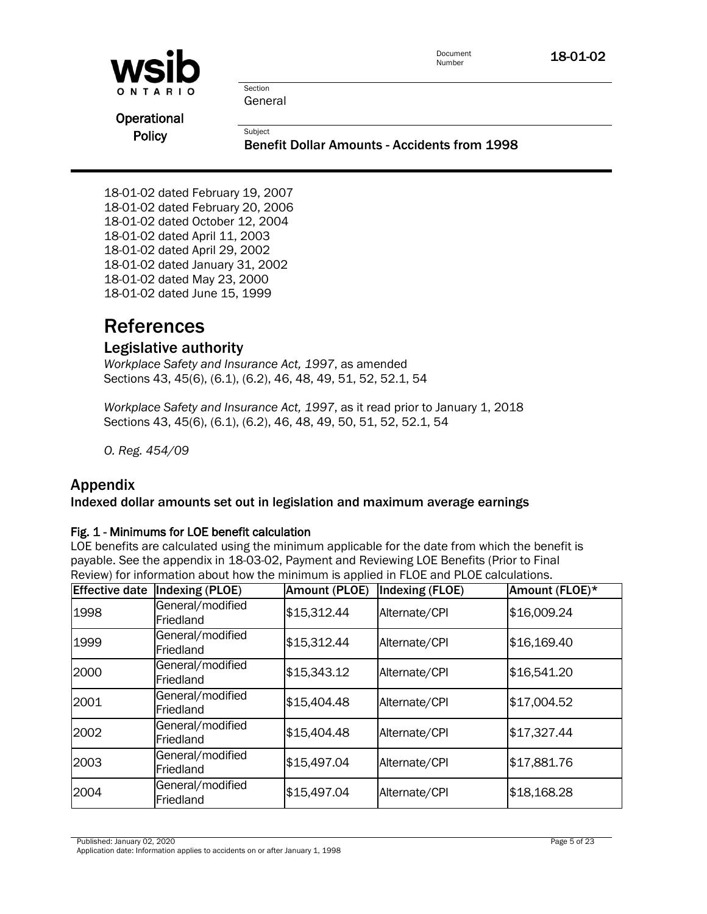| <b>WSID</b>   |                                                                | Document<br>Number | 18-01-02 |
|---------------|----------------------------------------------------------------|--------------------|----------|
| ONTARIO       | Section<br>General                                             |                    |          |
| Operational   |                                                                |                    |          |
| <b>Policy</b> | Subject<br><b>Benefit Dollar Amounts - Accidents from 1998</b> |                    |          |

18-01-02 dated February 19, 2007 18-01-02 dated February 20, 2006 18-01-02 dated October 12, 2004 18-01-02 dated April 11, 2003 18-01-02 dated April 29, 2002 18-01-02 dated January 31, 2002 18-01-02 dated May 23, 2000 18-01-02 dated June 15, 1999

# References

# Legislative authority

*Workplace Safety and Insurance Act, 1997*, as amended Sections 43, 45(6), (6.1), (6.2), 46, 48, 49, 51, 52, 52.1, 54

*Workplace Safety and Insurance Act, 1997*, as it read prior to January 1, 2018 Sections 43, 45(6), (6.1), (6.2), 46, 48, 49, 50, 51, 52, 52.1, 54

*O. Reg. 454/09*

# Appendix

# Indexed dollar amounts set out in legislation and maximum average earnings

### Fig. 1 - Minimums for LOE benefit calculation

LOE benefits are calculated using the minimum applicable for the date from which the benefit is payable. See the appendix in 18-03-02, Payment and Reviewing LOE Benefits (Prior to Final Review) for information about how the minimum is applied in FLOE and PLOE calculations.

| <b>Effective date</b> | <b>Indexing (PLOE)</b>        | Amount (PLOE) | <b>Indexing (FLOE)</b> | Amount (FLOE)* |
|-----------------------|-------------------------------|---------------|------------------------|----------------|
| 1998                  | General/modified<br>Friedland | \$15,312.44   | Alternate/CPI          | \$16,009.24    |
| 1999                  | General/modified<br>Friedland | \$15,312.44   | Alternate/CPI          | \$16,169.40    |
| 2000                  | General/modified<br>Friedland | \$15,343.12   | Alternate/CPI          | \$16,541.20    |
| 2001                  | General/modified<br>Friedland | \$15,404.48   | Alternate/CPI          | \$17,004.52    |
| 2002                  | General/modified<br>Friedland | \$15,404.48   | Alternate/CPI          | \$17,327.44    |
| 2003                  | General/modified<br>Friedland | \$15,497.04   | Alternate/CPI          | \$17,881.76    |
| 2004                  | General/modified<br>Friedland | \$15,497.04   | Alternate/CPI          | \$18,168.28    |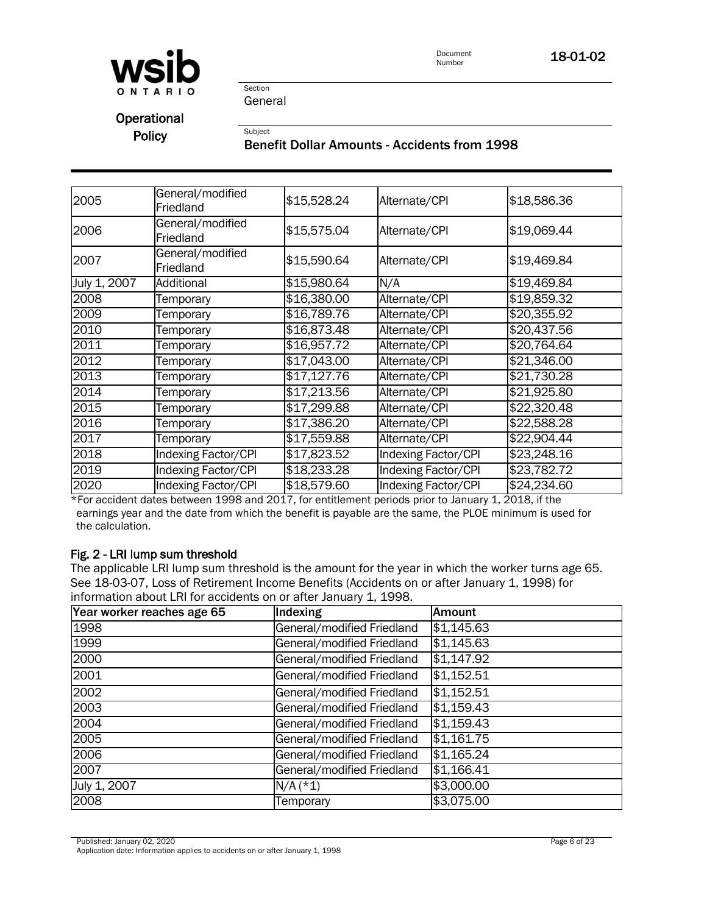

Section General

Subject

**Operational Policy** 

# Benefit Dollar Amounts - Accidents from 1998

| 2005         | General/modified<br>Friedland | \$15,528.24 | Alternate/CPI              | \$18,586.36 |
|--------------|-------------------------------|-------------|----------------------------|-------------|
| 2006         | General/modified<br>Friedland | \$15,575.04 | Alternate/CPI              | \$19,069.44 |
| 2007         | General/modified<br>Friedland | \$15,590.64 | Alternate/CPI              | \$19,469.84 |
| July 1, 2007 | Additional                    | \$15,980.64 | N/A                        | \$19,469.84 |
| 2008         | Temporary                     | \$16,380.00 | Alternate/CPI              | \$19,859.32 |
| 2009         | Temporary                     | \$16,789.76 | Alternate/CPI              | \$20,355.92 |
| 2010         | Temporary                     | \$16,873.48 | Alternate/CPI              | \$20,437.56 |
| 2011         | Temporary                     | \$16,957.72 | Alternate/CPI              | \$20,764.64 |
| 2012         | Temporary                     | \$17,043.00 | Alternate/CPI              | \$21,346.00 |
| 2013         | Temporary                     | \$17,127.76 | Alternate/CPI              | \$21,730.28 |
| 2014         | Temporary                     | \$17,213.56 | Alternate/CPI              | \$21,925.80 |
| 2015         | Temporary                     | \$17,299.88 | Alternate/CPI              | \$22,320.48 |
| 2016         | Temporary                     | \$17,386.20 | Alternate/CPI              | \$22,588.28 |
| 2017         | Temporary                     | \$17,559.88 | Alternate/CPI              | \$22,904.44 |
| 2018         | Indexing Factor/CPI           | \$17,823.52 | <b>Indexing Factor/CPI</b> | \$23,248.16 |
| 2019         | Indexing Factor/CPI           | \$18,233.28 | <b>Indexing Factor/CPI</b> | \$23,782.72 |
| 2020         | <b>Indexing Factor/CPI</b>    | \$18,579.60 | <b>Indexing Factor/CPI</b> | \$24,234.60 |

\*For accident dates between 1998 and 2017, for entitlement periods prior to January 1, 2018, if the earnings year and the date from which the benefit is payable are the same, the PLOE minimum is used for the calculation.

## Fig. 2 - LRI lump sum threshold

The applicable LRI lump sum threshold is the amount for the year in which the worker turns age 65. See 18-03-07, Loss of Retirement Income Benefits (Accidents on or after January 1, 1998) for information about LRI for accidents on or after January 1, 1998.

| Year worker reaches age 65 | Indexing                   | <b>Amount</b> |
|----------------------------|----------------------------|---------------|
| 1998                       | General/modified Friedland | \$1,145.63    |
| 1999                       | General/modified Friedland | \$1,145.63    |
| 2000                       | General/modified Friedland | \$1,147.92    |
| 2001                       | General/modified Friedland | \$1,152.51    |
| 2002                       | General/modified Friedland | \$1,152.51    |
| 2003                       | General/modified Friedland | \$1,159.43    |
| 2004                       | General/modified Friedland | \$1,159.43    |
| 2005                       | General/modified Friedland | \$1,161.75    |
| 2006                       | General/modified Friedland | \$1,165.24    |
| 2007                       | General/modified Friedland | \$1,166.41    |
| July 1, 2007               | $N/A$ (*1)                 | \$3,000.00    |
| 2008                       | Temporary                  | \$3,075.00    |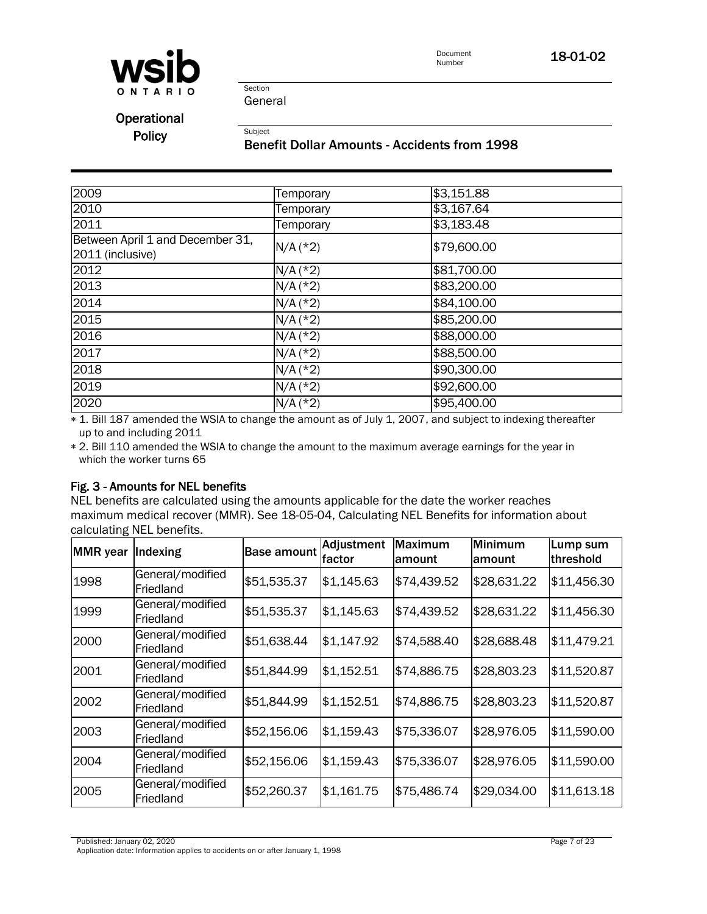

Document<br>Number 18-01-02

Section General

Subject

Operational

**Policy** 

### Benefit Dollar Amounts - Accidents from 1998

| 2009                                                 | Temporary  | \$3,151.88  |
|------------------------------------------------------|------------|-------------|
| 2010                                                 | Temporary  | \$3,167.64  |
| 2011                                                 | Temporary  | \$3,183.48  |
| Between April 1 and December 31,<br>2011 (inclusive) | $N/A$ (*2) | \$79,600.00 |
| 2012                                                 | $N/A$ (*2) | \$81,700.00 |
| 2013                                                 | $N/A$ (*2) | \$83,200.00 |
| 2014                                                 | $N/A$ (*2) | \$84,100.00 |
| 2015                                                 | $N/A$ (*2) | \$85,200.00 |
| 2016                                                 | $N/A$ (*2) | \$88,000.00 |
| 2017                                                 | $N/A$ (*2) | \$88,500.00 |
| 2018                                                 | $N/A$ (*2) | \$90,300.00 |
| 2019                                                 | $N/A$ (*2) | \$92,600.00 |
| 2020                                                 | $N/A$ (*2) | \$95,400.00 |

 1. Bill 187 amended the WSIA to change the amount as of July 1, 2007, and subject to indexing thereafter up to and including 2011

 2. Bill 110 amended the WSIA to change the amount to the maximum average earnings for the year in which the worker turns 65

# Fig. 3 - Amounts for NEL benefits

NEL benefits are calculated using the amounts applicable for the date the worker reaches maximum medical recover (MMR). See [18-05-04, Calculating NEL Benefits](policy:18-05-04) for information about calculating NEL benefits.

| <b>MMR</b> year | Indexing                      | <b>Base amount</b> | Adjustment<br>lfactor | Maximum<br>lamount | Minimum<br>lamount | Lump sum<br>threshold |
|-----------------|-------------------------------|--------------------|-----------------------|--------------------|--------------------|-----------------------|
| 1998            | General/modified<br>Friedland | \$51,535.37        | \$1,145.63            | \$74,439.52        | \$28,631.22        | \$11,456.30           |
| 1999            | General/modified<br>Friedland | \$51,535.37        | \$1,145.63            | \$74,439.52        | \$28,631.22        | \$11,456.30           |
| 2000            | General/modified<br>Friedland | \$51,638.44        | \$1,147.92            | \$74,588.40        | \$28,688.48        | \$11,479.21           |
| 2001            | General/modified<br>Friedland | \$51,844.99        | \$1,152.51            | \$74,886.75        | \$28,803.23        | \$11,520.87           |
| 2002            | General/modified<br>Friedland | \$51,844.99        | \$1,152.51            | \$74,886.75        | \$28,803.23        | \$11,520.87           |
| 2003            | General/modified<br>Friedland | \$52,156.06        | \$1,159.43            | \$75,336.07        | \$28,976.05        | \$11,590.00           |
| 2004            | General/modified<br>Friedland | \$52,156.06        | \$1,159.43            | \$75,336.07        | \$28,976.05        | \$11,590.00           |
| 2005            | General/modified<br>Friedland | \$52,260.37        | \$1,161.75            | \$75,486.74        | \$29,034.00        | \$11,613.18           |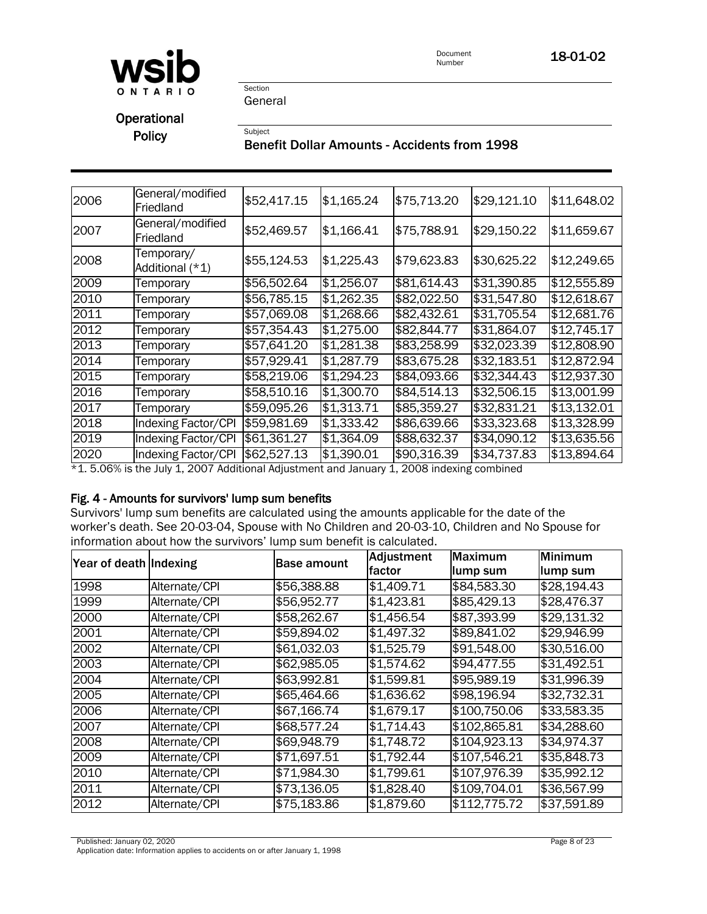

Document<br>Number **18-01-02** 

Section General

Subject

Operational **Policy** 

# Benefit Dollar Amounts - Accidents from 1998

| 2006 | General/modified<br>Friedland | \$52,417.15 | \$1,165.24 | \$75,713.20 | \$29,121.10         | \$11,648.02 |
|------|-------------------------------|-------------|------------|-------------|---------------------|-------------|
| 2007 | General/modified<br>Friedland | \$52,469.57 | \$1,166.41 | \$75,788.91 | \$29,150.22         | \$11,659.67 |
| 2008 | Temporary/<br>Additional (*1) | \$55,124.53 | \$1,225.43 | \$79,623.83 | \$30,625.22         | \$12,249.65 |
| 2009 | Temporary                     | \$56,502.64 | \$1,256.07 | \$81,614.43 | $\sqrt{331,390.85}$ | \$12,555.89 |
| 2010 | Temporary                     | \$56,785.15 | \$1,262.35 | \$82,022.50 | \$31,547.80         | \$12,618.67 |
| 2011 | Temporary                     | \$57,069.08 | \$1,268.66 | \$82,432.61 | \$31,705.54         | \$12,681.76 |
| 2012 | Temporary                     | \$57,354.43 | \$1,275.00 | \$82,844.77 | \$31,864.07         | \$12,745.17 |
| 2013 | Temporary                     | \$57,641.20 | \$1,281.38 | \$83,258.99 | \$32,023.39         | \$12,808.90 |
| 2014 | Temporary                     | \$57,929.41 | \$1,287.79 | \$83,675.28 | \$32,183.51         | \$12,872.94 |
| 2015 | Temporary                     | \$58,219.06 | \$1,294.23 | \$84,093.66 | \$32,344.43         | \$12,937.30 |
| 2016 | Temporary                     | \$58,510.16 | \$1,300.70 | \$84,514.13 | \$32,506.15         | \$13,001.99 |
| 2017 | Temporary                     | \$59,095.26 | \$1,313.71 | \$85,359.27 | \$32,831.21         | \$13,132.01 |
| 2018 | <b>Indexing Factor/CPI</b>    | \$59,981.69 | \$1,333.42 | \$86,639.66 | \$33,323.68         | \$13,328.99 |
| 2019 | <b>Indexing Factor/CPI</b>    | \$61,361.27 | \$1,364.09 | \$88,632.37 | \$34,090.12         | \$13,635.56 |
| 2020 | Indexing Factor/CPI           | \$62,527.13 | \$1,390.01 | \$90,316.39 | \$34,737.83         | \$13,894.64 |

\*1. 5.06% is the July 1, 2007 Additional Adjustment and January 1, 2008 indexing combined

## Fig. 4 - Amounts for survivors' lump sum benefits

Survivors' lump sum benefits are calculated using the amounts applicable for the date of the worker's death. See 20-03-04, Spouse with No Children and 20-03-10, Children and No Spouse for information about how the survivors' lump sum benefit is calculated.

| Year of death Indexing |               | <b>Base amount</b> | <b>Adjustment</b> | Maximum      | Minimum     |
|------------------------|---------------|--------------------|-------------------|--------------|-------------|
|                        |               |                    | factor            | lump sum     | lump sum    |
| 1998                   | Alternate/CPI | \$56,388.88        | \$1,409.71        | \$84,583.30  | \$28,194.43 |
| 1999                   | Alternate/CPI | \$56,952.77        | \$1,423.81        | \$85,429.13  | \$28,476.37 |
| 2000                   | Alternate/CPI | \$58,262.67        | \$1,456.54        | \$87,393.99  | \$29,131.32 |
| 2001                   | Alternate/CPI | \$59,894.02        | \$1,497.32        | \$89,841.02  | \$29,946.99 |
| 2002                   | Alternate/CPI | \$61,032.03        | \$1,525.79        | \$91,548.00  | \$30,516.00 |
| 2003                   | Alternate/CPI | \$62,985.05        | \$1,574.62        | \$94,477.55  | \$31,492.51 |
| 2004                   | Alternate/CPI | \$63,992.81        | \$1,599.81        | \$95,989.19  | \$31,996.39 |
| 2005                   | Alternate/CPI | \$65,464.66        | \$1,636.62        | \$98,196.94  | \$32,732.31 |
| 2006                   | Alternate/CPI | \$67,166.74        | \$1,679.17        | \$100,750.06 | \$33,583.35 |
| 2007                   | Alternate/CPI | \$68,577.24        | \$1,714.43        | \$102,865.81 | \$34,288.60 |
| 2008                   | Alternate/CPI | \$69,948.79        | \$1,748.72        | \$104,923.13 | \$34,974.37 |
| 2009                   | Alternate/CPI | \$71,697.51        | \$1,792.44        | \$107,546.21 | \$35,848.73 |
| 2010                   | Alternate/CPI | \$71,984.30        | \$1,799.61        | \$107,976.39 | \$35,992.12 |
| 2011                   | Alternate/CPI | \$73,136.05        | \$1,828.40        | \$109,704.01 | \$36,567.99 |
| 2012                   | Alternate/CPI | \$75,183.86        | \$1,879.60        | \$112,775.72 | \$37,591.89 |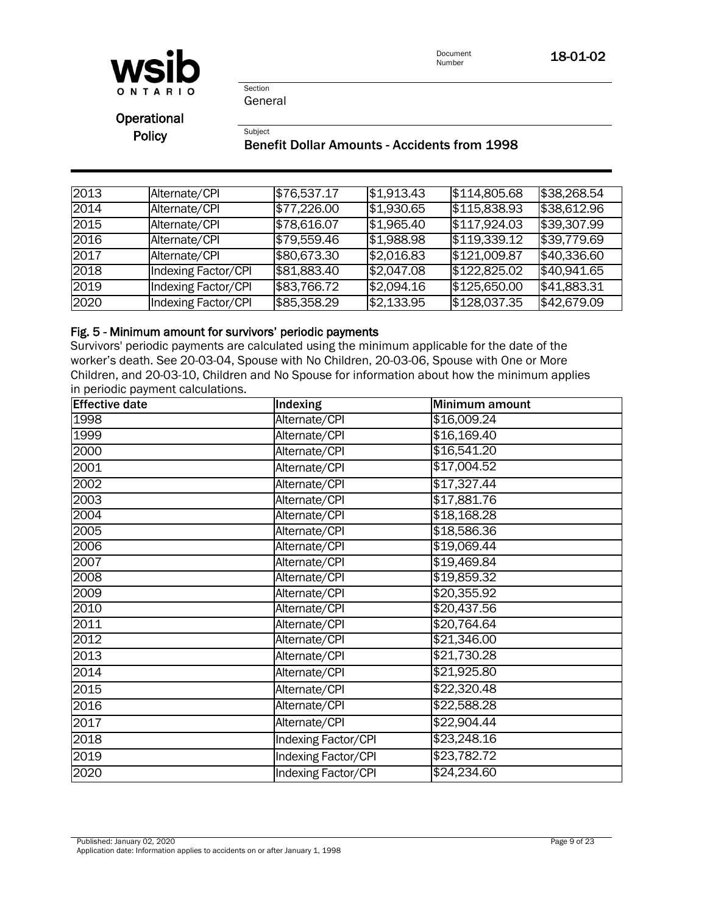

Document<br>Number **18-01-02** 

Section General

Subject

Operational **Policy** 

# Benefit Dollar Amounts - Accidents from 1998

| 2013 | Alternate/CPI              | \$76,537.17 | \$1,913.43 | \$114,805.68 | \$38,268.54 |
|------|----------------------------|-------------|------------|--------------|-------------|
| 2014 | Alternate/CPI              | \$77,226.00 | \$1,930.65 | \$115,838.93 | \$38,612.96 |
| 2015 | Alternate/CPI              | \$78,616.07 | \$1,965.40 | \$117,924.03 | \$39,307.99 |
| 2016 | Alternate/CPI              | \$79,559.46 | \$1,988.98 | \$119,339.12 | \$39,779.69 |
| 2017 | Alternate/CPI              | \$80,673.30 | \$2,016.83 | \$121,009.87 | \$40,336.60 |
| 2018 | Indexing Factor/CPI        | \$81,883.40 | \$2,047.08 | \$122,825.02 | \$40,941.65 |
| 2019 | <b>Indexing Factor/CPI</b> | \$83,766.72 | \$2,094.16 | \$125,650.00 | \$41,883.31 |
| 2020 | Indexing Factor/CPI        | \$85,358.29 | \$2,133.95 | \$128,037.35 | \$42,679.09 |

# Fig. 5 - Minimum amount for survivors' periodic payments

Survivors' periodic payments are calculated using the minimum applicable for the date of the worker's death. See 20-03-04, Spouse with No Children, 20-03-06, Spouse with One or More Children, and 20-03-10, Children and No Spouse for information about how the minimum applies in periodic payment calculations.

| <b>Effective date</b> | Indexing            | Minimum amount |
|-----------------------|---------------------|----------------|
| 1998                  | Alternate/CPI       | \$16,009.24    |
| 1999                  | Alternate/CPI       | \$16,169.40    |
| 2000                  | Alternate/CPI       | \$16,541.20    |
| 2001                  | Alternate/CPI       | \$17,004.52    |
| 2002                  | Alternate/CPI       | \$17,327.44    |
| 2003                  | Alternate/CPI       | \$17,881.76    |
| 2004                  | Alternate/CPI       | \$18,168.28    |
| 2005                  | Alternate/CPI       | \$18,586.36    |
| 2006                  | Alternate/CPI       | \$19,069.44    |
| 2007                  | Alternate/CPI       | \$19,469.84    |
| 2008                  | Alternate/CPI       | \$19,859.32    |
| 2009                  | Alternate/CPI       | \$20,355.92    |
| 2010                  | Alternate/CPI       | \$20,437.56    |
| 2011                  | Alternate/CPI       | \$20,764.64    |
| 2012                  | Alternate/CPI       | \$21,346.00    |
| 2013                  | Alternate/CPI       | \$21,730.28    |
| 2014                  | Alternate/CPI       | \$21,925.80    |
| 2015                  | Alternate/CPI       | \$22,320.48    |
| 2016                  | Alternate/CPI       | \$22,588.28    |
| 2017                  | Alternate/CPI       | \$22,904.44    |
| 2018                  | Indexing Factor/CPI | \$23,248.16    |
| 2019                  | Indexing Factor/CPI | \$23,782.72    |
| 2020                  | Indexing Factor/CPI | \$24,234.60    |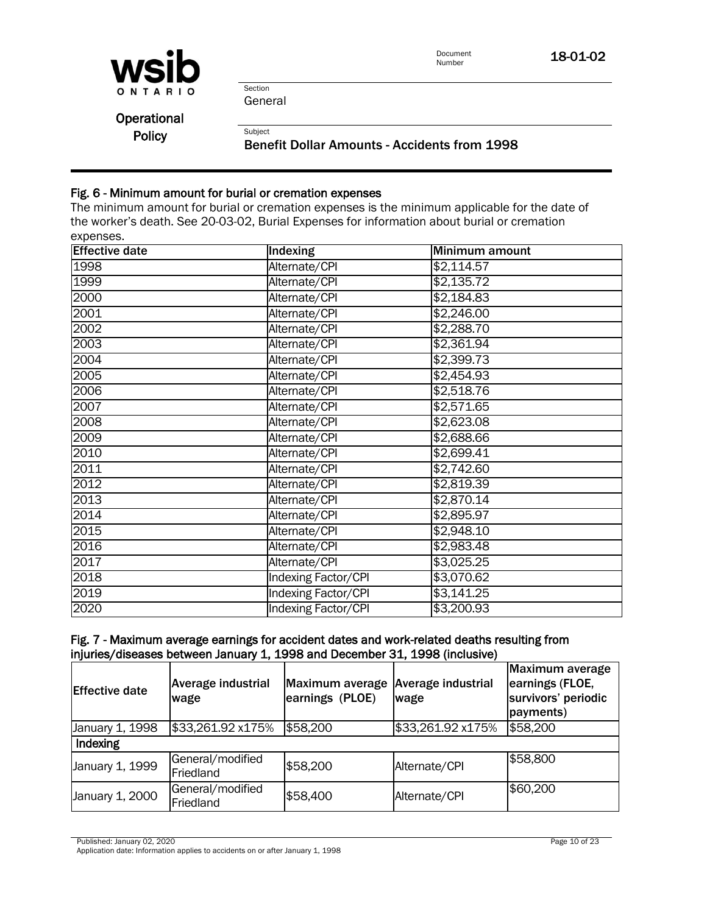

Document<br>Number 18-01-02

Section General

Subject

**Operational Policy** 

Benefit Dollar Amounts - Accidents from 1998

### Fig. 6 - Minimum amount for burial or cremation expenses

The minimum amount for burial or cremation expenses is the minimum applicable for the date of the worker's death. See [20-03-02, Burial Expenses](policy:20-03-02) for information about burial or cremation expenses.

| <b>Effective date</b> | Indexing                   | Minimum amount    |
|-----------------------|----------------------------|-------------------|
| 1998                  | Alternate/CPI              | \$2,114.57        |
| 1999                  | Alternate/CPI              | \$2,135.72        |
| 2000                  | Alternate/CPI              | \$2,184.83        |
| 2001                  | Alternate/CPI              | \$2,246.00        |
| 2002                  | Alternate/CPI              | \$2,288.70        |
| 2003                  | Alternate/CPI              | $\sqrt{2,361.94}$ |
| 2004                  | Alternate/CPI              | \$2,399.73        |
| 2005                  | Alternate/CPI              | \$2,454.93        |
| 2006                  | Alternate/CPI              | \$2,518.76        |
| 2007                  | Alternate/CPI              | \$2,571.65        |
| 2008                  | Alternate/CPI              | \$2,623.08        |
| 2009                  | Alternate/CPI              | \$2,688.66        |
| 2010                  | Alternate/CPI              | $\sqrt{2,699.41}$ |
| 2011                  | Alternate/CPI              | \$2,742.60        |
| 2012                  | Alternate/CPI              | \$2,819.39        |
| 2013                  | Alternate/CPI              | \$2,870.14        |
| 2014                  | Alternate/CPI              | \$2,895.97        |
| 2015                  | Alternate/CPI              | \$2,948.10        |
| 2016                  | Alternate/CPI              | \$2,983.48        |
| 2017                  | Alternate/CPI              | \$3,025.25        |
| 2018                  | <b>Indexing Factor/CPI</b> | \$3,070.62        |
| 2019                  | <b>Indexing Factor/CPI</b> | \$3,141.25        |
| 2020                  | <b>Indexing Factor/CPI</b> | \$3,200.93        |

### Fig. 7 - Maximum average earnings for accident dates and work-related deaths resulting from injuries/diseases between January 1, 1998 and December 31, 1998 (inclusive)

| <b>Effective date</b> | Average industrial<br>wage    | Maximum average<br>earnings (PLOE) | Average industrial<br>wage | Maximum average<br>earnings (FLOE,<br>survivors' periodic<br>payments) |
|-----------------------|-------------------------------|------------------------------------|----------------------------|------------------------------------------------------------------------|
| January 1, 1998       | \$33,261.92 x175%             | \$58,200                           | \$33,261.92 x175%          | \$58,200                                                               |
| Indexing              |                               |                                    |                            |                                                                        |
| January 1, 1999       | General/modified<br>Friedland | \$58,200                           | Alternate/CPI              | \$58,800                                                               |
| January 1, 2000       | General/modified<br>Friedland | \$58,400                           | Alternate/CPI              | \$60,200                                                               |

Published: January 02, 2020 Page 10 of 23

Application date: Information applies to accidents on or after January 1, 1998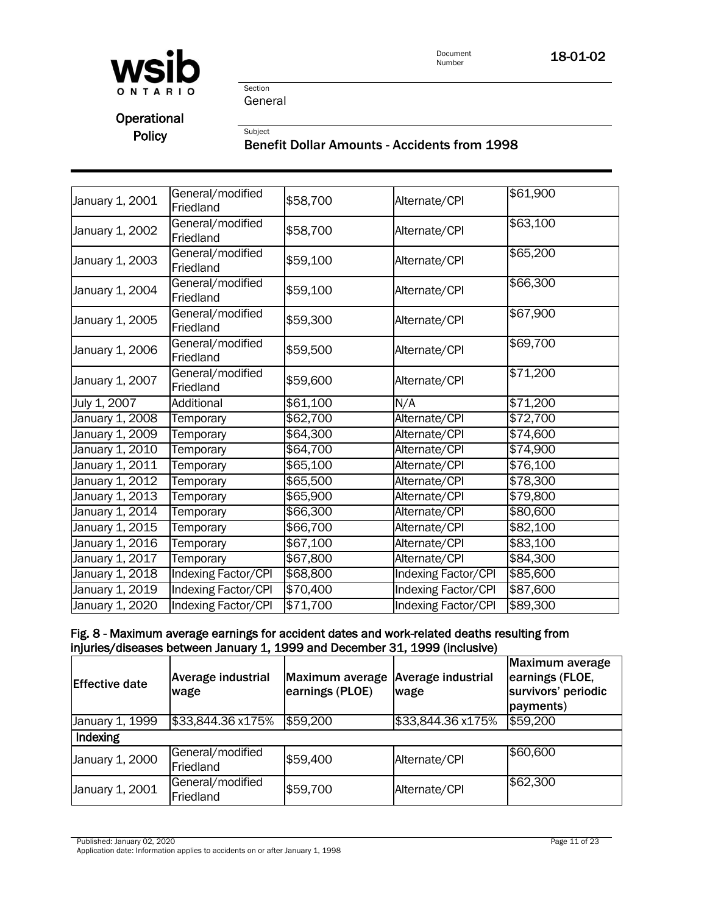

Section General

Subject

# **Operational** Policy

# Benefit Dollar Amounts - Accidents from 1998

| January 1, 2001 | General/modified<br>Friedland | \$58,700 | Alternate/CPI              | \$61,900         |
|-----------------|-------------------------------|----------|----------------------------|------------------|
| January 1, 2002 | General/modified<br>Friedland | \$58,700 | Alternate/CPI              | \$63,100         |
| January 1, 2003 | General/modified<br>Friedland | \$59,100 | Alternate/CPI              | \$65,200         |
| January 1, 2004 | General/modified<br>Friedland | \$59,100 | Alternate/CPI              | \$66,300         |
| January 1, 2005 | General/modified<br>Friedland | \$59,300 | Alternate/CPI              | \$67,900         |
| January 1, 2006 | General/modified<br>Friedland | \$59,500 | Alternate/CPI              | \$69,700         |
| January 1, 2007 | General/modified<br>Friedland | \$59,600 | Alternate/CPI              | \$71,200         |
| July 1, 2007    | Additional                    | \$61,100 | N/A                        | \$71,200         |
| January 1, 2008 | Temporary                     | \$62,700 | Alternate/CPI              | \$72,700         |
| January 1, 2009 | Temporary                     | \$64,300 | Alternate/CPI              | \$74,600         |
| January 1, 2010 | Temporary                     | \$64,700 | Alternate/CPI              | $\sqrt{$74,900}$ |
| January 1, 2011 | Temporary                     | \$65,100 | Alternate/CPI              | \$76,100         |
| January 1, 2012 | Temporary                     | \$65,500 | Alternate/CPI              | \$78,300         |
| January 1, 2013 | Temporary                     | \$65,900 | Alternate/CPI              | \$79,800         |
| January 1, 2014 | Temporary                     | \$66,300 | Alternate/CPI              | \$80,600         |
| January 1, 2015 | Temporary                     | \$66,700 | Alternate/CPI              | \$82,100         |
| January 1, 2016 | Temporary                     | \$67,100 | Alternate/CPI              | \$83,100         |
| January 1, 2017 | Temporary                     | \$67,800 | Alternate/CPI              | \$84,300         |
| January 1, 2018 | <b>Indexing Factor/CPI</b>    | \$68,800 | <b>Indexing Factor/CPI</b> | \$85,600         |
| January 1, 2019 | <b>Indexing Factor/CPI</b>    | \$70,400 | <b>Indexing Factor/CPI</b> | \$87,600         |
| January 1, 2020 | Indexing Factor/CPI           | \$71,700 | Indexing Factor/CPI        | \$89,300         |
|                 |                               |          |                            |                  |

# Fig. 8 - Maximum average earnings for accident dates and work-related deaths resulting from injuries/diseases between January 1, 1999 and December 31, 1999 (inclusive)

| <b>Effective date</b> | <b>Average industrial</b><br>wage | Maximum average<br>earnings (PLOE) | <b>Average industrial</b><br>wage | Maximum average<br>earnings (FLOE,<br>survivors' periodic<br>payments) |
|-----------------------|-----------------------------------|------------------------------------|-----------------------------------|------------------------------------------------------------------------|
| January 1, 1999       | \$33,844.36 x175%                 | \$59,200                           | \$33,844.36 x175%                 | \$59,200                                                               |
| Indexing              |                                   |                                    |                                   |                                                                        |
| January 1, 2000       | General/modified<br>Friedland     | \$59,400                           | Alternate/CPI                     | \$60,600                                                               |
| January 1, 2001       | General/modified<br>Friedland     | \$59,700                           | Alternate/CPI                     | \$62,300                                                               |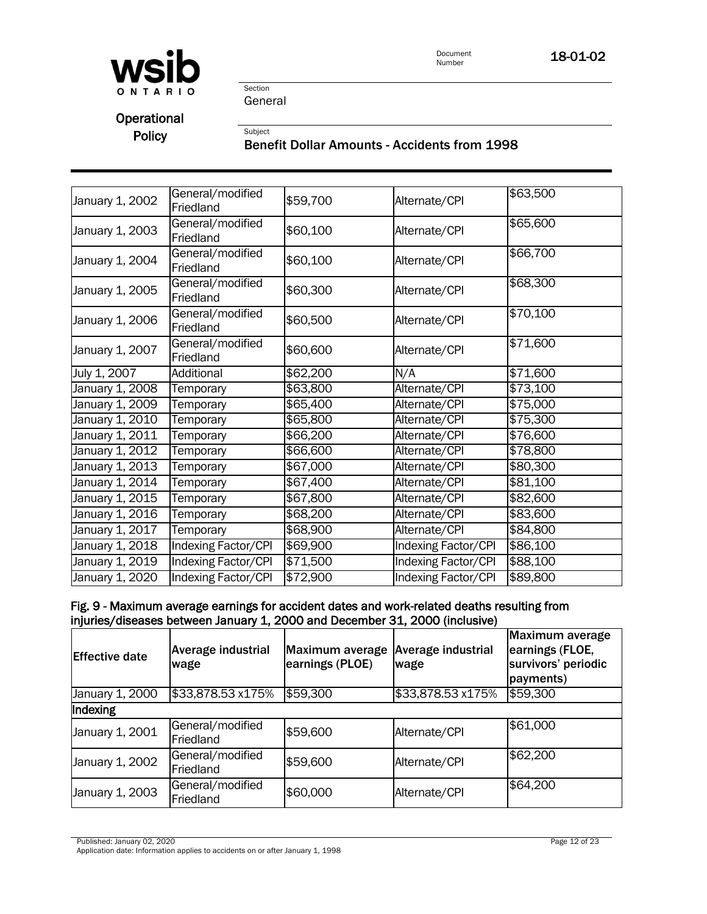

Document<br>Number 18-01-02

Section General

Subject

**Operational** Policy

# Benefit Dollar Amounts - Accidents from 1998

| January 1, 2002 | General/modified<br>Friedland | \$59,700 | Alternate/CPI       | \$63,500 |
|-----------------|-------------------------------|----------|---------------------|----------|
| January 1, 2003 | General/modified<br>Friedland | \$60,100 | Alternate/CPI       | \$65,600 |
| January 1, 2004 | General/modified<br>Friedland | \$60,100 | Alternate/CPI       | \$66,700 |
| January 1, 2005 | General/modified<br>Friedland | \$60,300 | Alternate/CPI       | \$68,300 |
| January 1, 2006 | General/modified<br>Friedland | \$60,500 | Alternate/CPI       | \$70,100 |
| January 1, 2007 | General/modified<br>Friedland | \$60,600 | Alternate/CPI       | \$71,600 |
| July 1, 2007    | Additional                    | \$62,200 | N/A                 | \$71,600 |
| January 1, 2008 | Temporary                     | \$63,800 | Alternate/CPI       | \$73,100 |
| January 1, 2009 | Temporary                     | \$65,400 | Alternate/CPI       | \$75,000 |
| January 1, 2010 | Temporary                     | \$65,800 | Alternate/CPI       | \$75,300 |
| January 1, 2011 | Temporary                     | \$66,200 | Alternate/CPI       | \$76,600 |
| January 1, 2012 | Temporary                     | \$66,600 | Alternate/CPI       | \$78,800 |
| January 1, 2013 | Temporary                     | \$67,000 | Alternate/CPI       | \$80,300 |
| January 1, 2014 | Temporary                     | \$67,400 | Alternate/CPI       | \$81,100 |
| January 1, 2015 | Temporary                     | \$67,800 | Alternate/CPI       | \$82,600 |
| January 1, 2016 | Temporary                     | \$68,200 | Alternate/CPI       | \$83,600 |
| January 1, 2017 | Temporary                     | \$68,900 | Alternate/CPI       | \$84,800 |
| January 1, 2018 | Indexing Factor/CPI           | \$69,900 | Indexing Factor/CPI | \$86,100 |
| January 1, 2019 | Indexing Factor/CPI           | \$71,500 | Indexing Factor/CPI | \$88,100 |
| January 1, 2020 | Indexing Factor/CPI           | \$72,900 | Indexing Factor/CPI | \$89,800 |
|                 |                               |          |                     |          |

# Fig. 9 - Maximum average earnings for accident dates and work-related deaths resulting from injuries/diseases between January 1, 2000 and December 31, 2000 (inclusive)

| <b>Effective date</b> | <b>Average industrial</b><br>wage | Maximum average<br>earnings (PLOE) | <b>Average industrial</b><br>wage | Maximum average<br>earnings (FLOE,<br>survivors' periodic<br>payments) |
|-----------------------|-----------------------------------|------------------------------------|-----------------------------------|------------------------------------------------------------------------|
| January 1, 2000       | \$33,878.53 x175%                 | \$59,300                           | \$33,878.53 x175%                 | \$59,300                                                               |
| Indexing              |                                   |                                    |                                   |                                                                        |
| January 1, 2001       | General/modified<br>Friedland     | \$59,600                           | Alternate/CPI                     | \$61,000                                                               |
| January 1, 2002       | General/modified<br>Friedland     | \$59,600                           | Alternate/CPI                     | \$62,200                                                               |
| January 1, 2003       | General/modified<br>Friedland     | \$60,000                           | Alternate/CPI                     | \$64,200                                                               |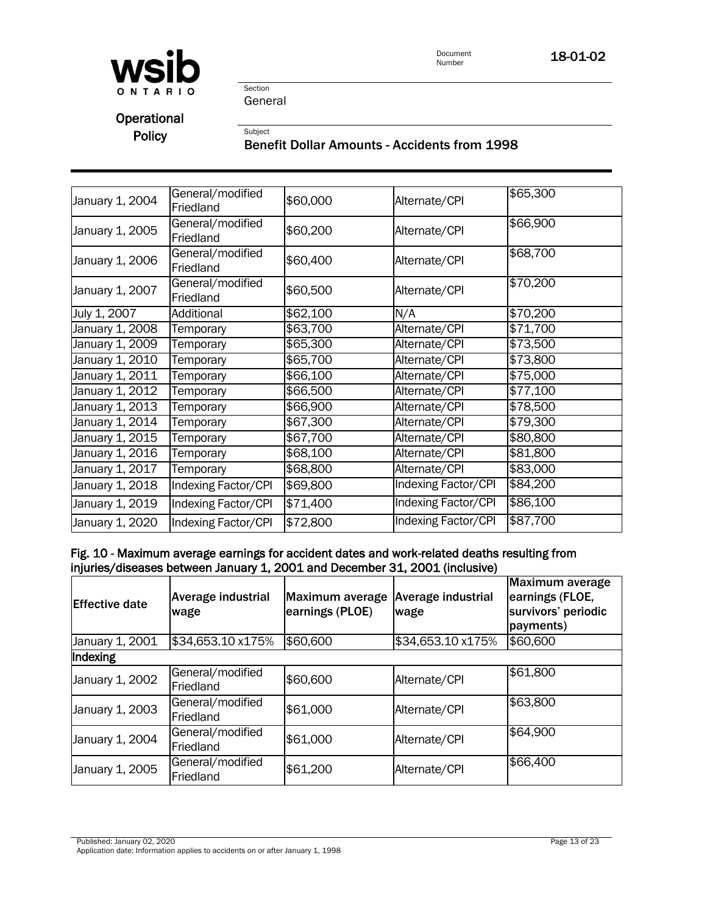

Document<br>Number 18-01-02

Section General

Subject

**Operational** Policy

# Benefit Dollar Amounts - Accidents from 1998

| January 1, 2004 | General/modified<br>Friedland | \$60,000 | Alternate/CPI       | \$65,300 |
|-----------------|-------------------------------|----------|---------------------|----------|
| January 1, 2005 | General/modified<br>Friedland | \$60,200 | Alternate/CPI       | \$66,900 |
| January 1, 2006 | General/modified<br>Friedland | \$60,400 | Alternate/CPI       | \$68,700 |
| January 1, 2007 | General/modified<br>Friedland | \$60,500 | Alternate/CPI       | \$70,200 |
| July 1, 2007    | Additional                    | \$62,100 | N/A                 | \$70,200 |
| January 1, 2008 | Temporary                     | \$63,700 | Alternate/CPI       | \$71,700 |
| January 1, 2009 | Temporary                     | \$65,300 | Alternate/CPI       | \$73,500 |
| January 1, 2010 | Temporary                     | \$65,700 | Alternate/CPI       | \$73,800 |
| January 1, 2011 | Temporary                     | \$66,100 | Alternate/CPI       | \$75,000 |
| January 1, 2012 | Temporary                     | \$66,500 | Alternate/CPI       | \$77,100 |
| January 1, 2013 | Temporary                     | \$66,900 | Alternate/CPI       | \$78,500 |
| January 1, 2014 | Temporary                     | \$67,300 | Alternate/CPI       | \$79,300 |
| January 1, 2015 | Temporary                     | \$67,700 | Alternate/CPI       | \$80,800 |
| January 1, 2016 | Temporary                     | \$68,100 | Alternate/CPI       | \$81,800 |
| January 1, 2017 | Temporary                     | \$68,800 | Alternate/CPI       | \$83,000 |
| January 1, 2018 | Indexing Factor/CPI           | \$69,800 | Indexing Factor/CPI | \$84,200 |
| January 1, 2019 | Indexing Factor/CPI           | \$71,400 | Indexing Factor/CPI | \$86,100 |
| January 1, 2020 | Indexing Factor/CPI           | \$72,800 | Indexing Factor/CPI | \$87,700 |

#### Fig. 10 - Maximum average earnings for accident dates and work-related deaths resulting from injuries/diseases between January 1, 2001 and December 31, 2001 (inclusive)

| <b>Effective date</b> | <b>Average industrial</b><br>wage | Maximum average<br>earnings (PLOE) | Average industrial<br>wage | <b>Maximum average</b><br>earnings (FLOE,<br>survivors' periodic<br>payments) |
|-----------------------|-----------------------------------|------------------------------------|----------------------------|-------------------------------------------------------------------------------|
| January 1, 2001       | \$34,653.10 x175%                 | \$60,600                           | \$34,653.10 x175%          | \$60,600                                                                      |
| Indexing              |                                   |                                    |                            |                                                                               |
| January 1, 2002       | General/modified<br>Friedland     | \$60,600                           | Alternate/CPI              | \$61,800                                                                      |
| January 1, 2003       | General/modified<br>Friedland     | \$61,000                           | Alternate/CPI              | \$63,800                                                                      |
| January 1, 2004       | General/modified<br>Friedland     | \$61,000                           | Alternate/CPI              | \$64,900                                                                      |
| January 1, 2005       | General/modified<br>Friedland     | \$61,200                           | Alternate/CPI              | \$66,400                                                                      |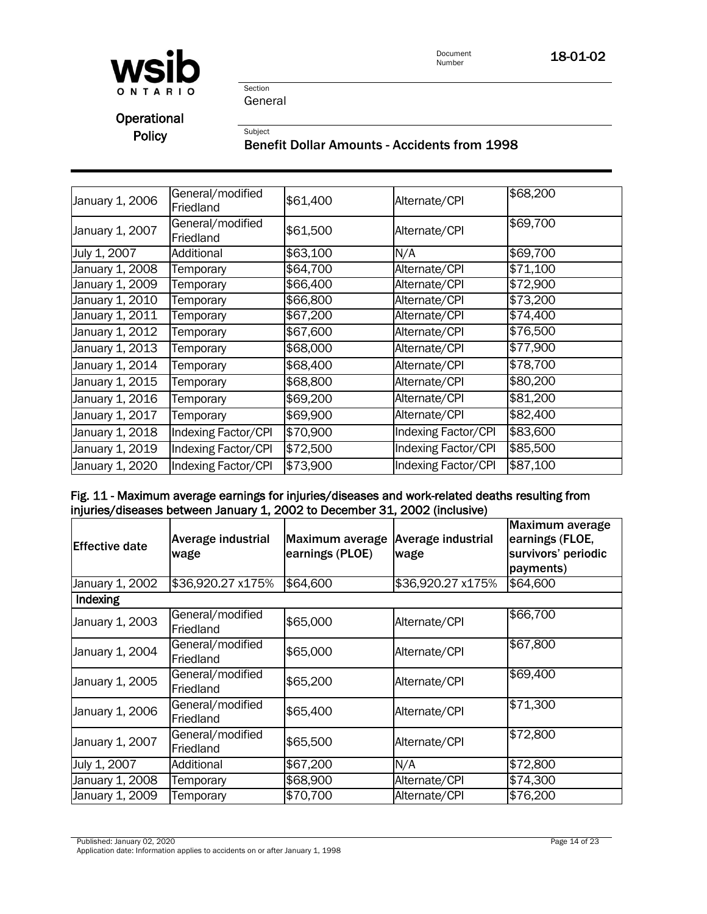

Document<br>Number 18-01-02

Section General

Subject

**Operational** Policy

# Benefit Dollar Amounts - Accidents from 1998

| January 1, 2006 | General/modified<br>Friedland | \$61,400 | Alternate/CPI       | \$68,200 |
|-----------------|-------------------------------|----------|---------------------|----------|
| January 1, 2007 | General/modified<br>Friedland | \$61,500 | Alternate/CPI       | \$69,700 |
| July 1, 2007    | Additional                    | \$63,100 | N/A                 | \$69,700 |
| January 1, 2008 | Temporary                     | \$64,700 | Alternate/CPI       | \$71,100 |
| January 1, 2009 | Temporary                     | \$66,400 | Alternate/CPI       | \$72,900 |
| January 1, 2010 | Temporary                     | \$66,800 | Alternate/CPI       | \$73,200 |
| January 1, 2011 | Temporary                     | \$67,200 | Alternate/CPI       | \$74,400 |
| January 1, 2012 | Temporary                     | \$67,600 | Alternate/CPI       | \$76,500 |
| January 1, 2013 | Temporary                     | \$68,000 | Alternate/CPI       | \$77,900 |
| January 1, 2014 | Temporary                     | \$68,400 | Alternate/CPI       | \$78,700 |
| January 1, 2015 | Temporary                     | \$68,800 | Alternate/CPI       | \$80,200 |
| January 1, 2016 | Temporary                     | \$69,200 | Alternate/CPI       | \$81,200 |
| January 1, 2017 | Temporary                     | \$69,900 | Alternate/CPI       | \$82,400 |
| January 1, 2018 | Indexing Factor/CPI           | \$70,900 | Indexing Factor/CPI | \$83,600 |
| January 1, 2019 | Indexing Factor/CPI           | \$72,500 | Indexing Factor/CPI | \$85,500 |
| January 1, 2020 | Indexing Factor/CPI           | \$73,900 | Indexing Factor/CPI | \$87,100 |

#### Fig. 11 - Maximum average earnings for injuries/diseases and work-related deaths resulting from injuries/diseases between January 1, 2002 to December 31, 2002 (inclusive)

| <b>IEffective date</b> | Average industrial<br>wage    | Maximum average<br>earnings (PLOE) | <b>Average industrial</b><br>wage | Maximum average<br>earnings (FLOE,<br>survivors' periodic<br>payments) |
|------------------------|-------------------------------|------------------------------------|-----------------------------------|------------------------------------------------------------------------|
| January 1, 2002        | \$36,920.27 x175%             | \$64,600                           | \$36,920.27 x175%                 | \$64,600                                                               |
| Indexing               |                               |                                    |                                   |                                                                        |
| January 1, 2003        | General/modified<br>Friedland | \$65,000                           | Alternate/CPI                     | \$66,700                                                               |
| January 1, 2004        | General/modified<br>Friedland | \$65,000                           | Alternate/CPI                     | \$67,800                                                               |
| January 1, 2005        | General/modified<br>Friedland | \$65,200                           | Alternate/CPI                     | \$69,400                                                               |
| January 1, 2006        | General/modified<br>Friedland | \$65,400                           | Alternate/CPI                     | \$71,300                                                               |
| January 1, 2007        | General/modified<br>Friedland | \$65,500                           | Alternate/CPI                     | \$72,800                                                               |
| July 1, 2007           | Additional                    | \$67,200                           | N/A                               | \$72,800                                                               |
| January 1, 2008        | Temporary                     | \$68,900                           | Alternate/CPI                     | \$74,300                                                               |
| January 1, 2009        | Temporary                     | \$70,700                           | Alternate/CPI                     | \$76,200                                                               |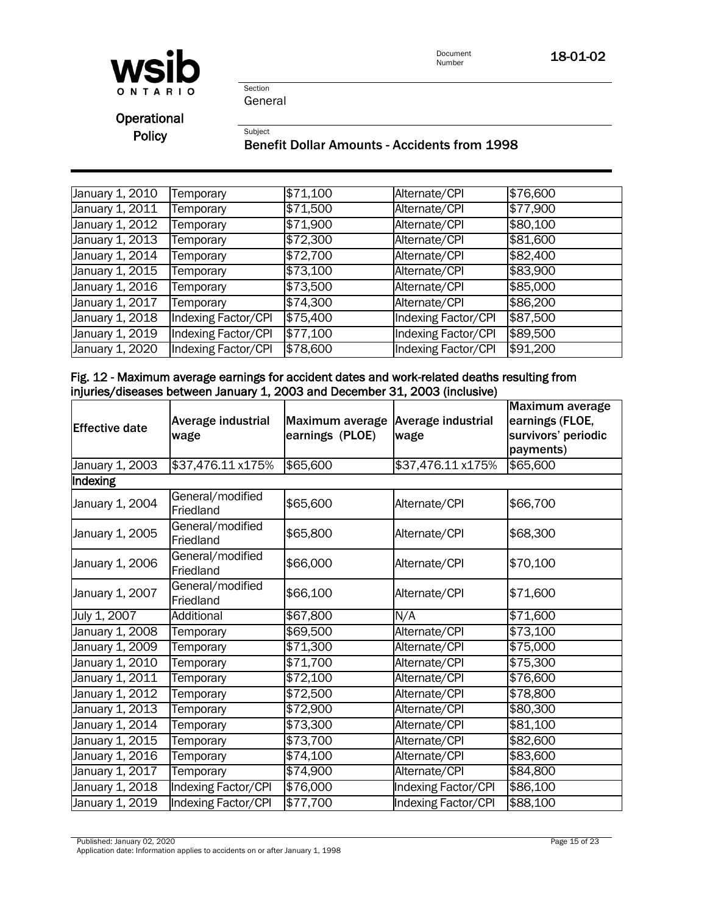

Document<br>Number 18-01-02

Section General

Subject

**Operational** Policy

#### Benefit Dollar Amounts - Accidents from 1998

| January 1, 2010              | Temporary           | \$71,100 | Alternate/CPI       | \$76,600 |
|------------------------------|---------------------|----------|---------------------|----------|
| January 1, $20\overline{11}$ | Temporary           | \$71,500 | Alternate/CPI       | \$77,900 |
| January 1, 2012              | Temporary           | \$71,900 | Alternate/CPI       | \$80,100 |
| January 1, 2013              | Temporary           | \$72,300 | Alternate/CPI       | \$81,600 |
| January 1, 2014              | Temporary           | \$72,700 | Alternate/CPI       | \$82,400 |
| January 1, 2015              | Temporary           | \$73,100 | Alternate/CPI       | \$83,900 |
| January 1, 2016              | Temporary           | \$73,500 | Alternate/CPI       | \$85,000 |
| January 1, 2017              | Temporary           | \$74,300 | Alternate/CPI       | \$86,200 |
| January 1, $20\overline{18}$ | Indexing Factor/CPI | \$75,400 | Indexing Factor/CPI | \$87,500 |
| January 1, 2019              | Indexing Factor/CPI | \$77,100 | Indexing Factor/CPI | \$89,500 |
| January 1, 2020              | Indexing Factor/CPI | \$78,600 | Indexing Factor/CPI | \$91,200 |

#### Fig. 12 - Maximum average earnings for accident dates and work-related deaths resulting from injuries/diseases between January 1, 2003 and December 31, 2003 (inclusive)

| <b>Effective date</b> | Average industrial<br>wage    | Maximum average<br>earnings (PLOE) | Average industrial<br>wage | Maximum average<br>earnings (FLOE,<br>survivors' periodic<br>payments) |
|-----------------------|-------------------------------|------------------------------------|----------------------------|------------------------------------------------------------------------|
| January 1, 2003       | \$37,476.11 x175%             | \$65,600                           | \$37,476.11 x175%          | \$65,600                                                               |
| Indexing              |                               |                                    |                            |                                                                        |
| January 1, 2004       | General/modified<br>Friedland | \$65,600                           | Alternate/CPI              | \$66,700                                                               |
| January 1, 2005       | General/modified<br>Friedland | \$65,800                           | Alternate/CPI              | \$68,300                                                               |
| January 1, 2006       | General/modified<br>Friedland | \$66,000                           | Alternate/CPI              | \$70,100                                                               |
| January 1, 2007       | General/modified<br>Friedland | \$66,100                           | Alternate/CPI              | \$71,600                                                               |
| July 1, 2007          | Additional                    | \$67,800                           | N/A                        | \$71,600                                                               |
| January 1, 2008       | Temporary                     | \$69,500                           | Alternate/CPI              | \$73,100                                                               |
| January 1, 2009       | Temporary                     | \$71,300                           | Alternate/CPI              | \$75,000                                                               |
| January 1, 2010       | Temporary                     | \$71,700                           | Alternate/CPI              | \$75,300                                                               |
| January 1, 2011       | Temporary                     | \$72,100                           | Alternate/CPI              | \$76,600                                                               |
| January 1, 2012       | Temporary                     | \$72,500                           | Alternate/CPI              | \$78,800                                                               |
| January 1, 2013       | Temporary                     | $\overline{$}72,900$               | Alternate/CPI              | \$80,300                                                               |
| January 1, 2014       | Temporary                     | \$73,300                           | Alternate/CPI              | \$81,100                                                               |
| January 1, 2015       | Temporary                     | \$73,700                           | Alternate/CPI              | \$82,600                                                               |
| January 1, 2016       | Temporary                     | \$74,100                           | Alternate/CPI              | \$83,600                                                               |
| January 1, 2017       | Temporary                     | \$74,900                           | Alternate/CPI              | \$84,800                                                               |
| January 1, 2018       | Indexing Factor/CPI           | \$76,000                           | Indexing Factor/CPI        | \$86,100                                                               |
| January 1, 2019       | <b>Indexing Factor/CPI</b>    | \$77,700                           | <b>Indexing Factor/CPI</b> | \$88,100                                                               |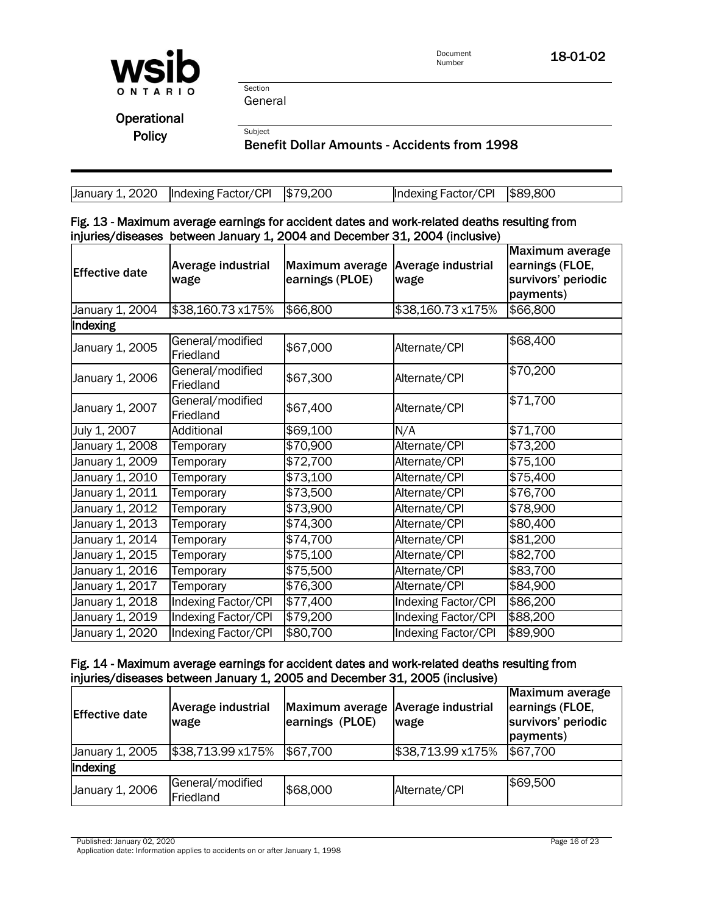

Section General

Subject

**Operational** Policy

Benefit Dollar Amounts - Accidents from 1998

| January 1, 2020   Indexing Factor/CPI $\vert$ \$79,200 | Indexing Factor/CPI   \$89,800 |  |
|--------------------------------------------------------|--------------------------------|--|

|  |  |                                                                             |  | Fig. 13 - Maximum average earnings for accident dates and work-related deaths resulting from |
|--|--|-----------------------------------------------------------------------------|--|----------------------------------------------------------------------------------------------|
|  |  | injuries/diseases between January 1, 2004 and December 31, 2004 (inclusive) |  |                                                                                              |

| <b>Effective date</b> | Average industrial<br>wage    | Maximum average<br>earnings (PLOE) | Average industrial<br>wage | <b>Maximum average</b><br>earnings (FLOE,<br>survivors' periodic<br>payments) |
|-----------------------|-------------------------------|------------------------------------|----------------------------|-------------------------------------------------------------------------------|
| January 1, 2004       | \$38,160.73 x175%             | \$66,800                           | \$38,160.73 x175%          | \$66,800                                                                      |
| Indexing              |                               |                                    |                            |                                                                               |
| January 1, 2005       | General/modified<br>Friedland | \$67,000                           | Alternate/CPI              | \$68,400                                                                      |
| January 1, 2006       | General/modified<br>Friedland | \$67,300                           | Alternate/CPI              | \$70,200                                                                      |
| January 1, 2007       | General/modified<br>Friedland | \$67,400                           | Alternate/CPI              | \$71,700                                                                      |
| July 1, 2007          | Additional                    | \$69,100                           | N/A                        | \$71,700                                                                      |
| January 1, 2008       | Temporary                     | \$70,900                           | Alternate/CPI              | \$73,200                                                                      |
| January 1, 2009       | Temporary                     | \$72,700                           | Alternate/CPI              | \$75,100                                                                      |
| January 1, 2010       | Temporary                     | \$73,100                           | Alternate/CPI              | \$75,400                                                                      |
| January 1, 2011       | Temporary                     | \$73,500                           | Alternate/CPI              | \$76,700                                                                      |
| January 1, 2012       | Temporary                     | \$73,900                           | Alternate/CPI              | \$78,900                                                                      |
| January 1, 2013       | Temporary                     | \$74,300                           | Alternate/CPI              | \$80,400                                                                      |
| January 1, 2014       | Temporary                     | \$74,700                           | Alternate/CPI              | \$81,200                                                                      |
| January 1, 2015       | Temporary                     | $\sqrt{$75,100}$                   | Alternate/CPI              | \$82,700                                                                      |
| January 1, 2016       | Temporary                     | \$75,500                           | Alternate/CPI              | \$83,700                                                                      |
| January 1, 2017       | Temporary                     | \$76,300                           | Alternate/CPI              | \$84,900                                                                      |
| January 1, 2018       | <b>Indexing Factor/CPI</b>    | \$77,400                           | Indexing Factor/CPI        | \$86,200                                                                      |
| January 1, 2019       | <b>Indexing Factor/CPI</b>    | \$79,200                           | <b>Indexing Factor/CPI</b> | \$88,200                                                                      |
| January 1, 2020       | Indexing Factor/CPI           | \$80,700                           | Indexing Factor/CPI        | \$89,900                                                                      |

# Fig. 14 - Maximum average earnings for accident dates and work-related deaths resulting from injuries/diseases between January 1, 2005 and December 31, 2005 (inclusive)

| <b>Effective date</b> | Average industrial<br>wage    | Maximum average Average industrial<br>earnings (PLOE) | wage              | Maximum average<br>earnings (FLOE,<br>survivors' periodic<br>payments) |
|-----------------------|-------------------------------|-------------------------------------------------------|-------------------|------------------------------------------------------------------------|
| January 1, 2005       | \$38,713.99 x175%             | \$67,700                                              | \$38,713.99 x175% | \$67,700                                                               |
| Indexing              |                               |                                                       |                   |                                                                        |
| January 1, 2006       | General/modified<br>Friedland | \$68,000                                              | Alternate/CPI     | \$69,500                                                               |

Published: January 02, 2020 Page 16 of 23

Application date: Information applies to accidents on or after January 1, 1998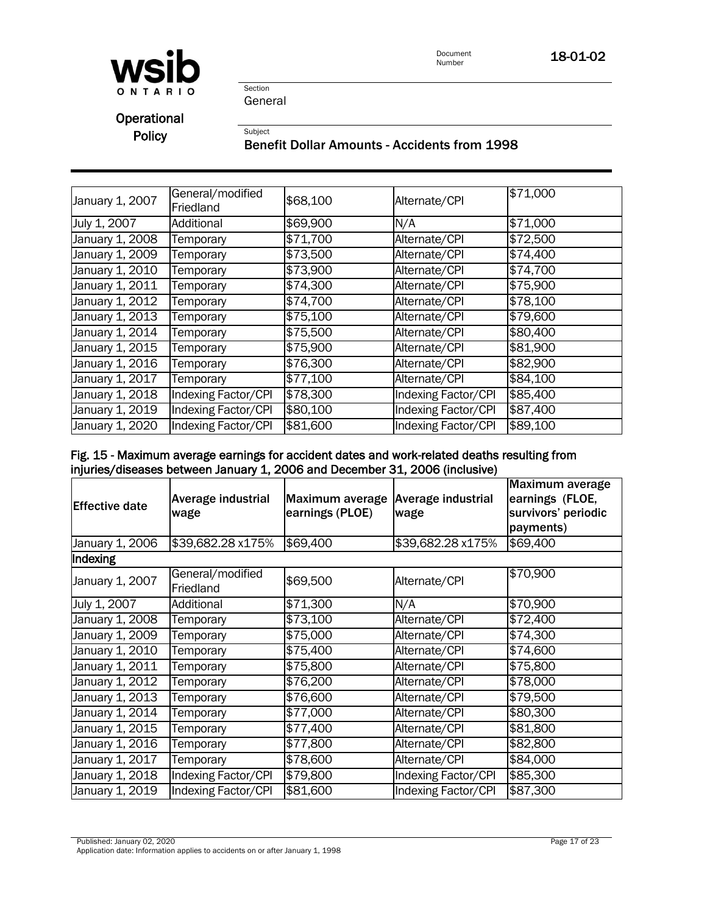

Section General

Subject

**Operational** Policy

# Benefit Dollar Amounts - Accidents from 1998

| January 1, 2007 | General/modified<br>Friedland | \$68,100 | Alternate/CPI       | \$71,000 |
|-----------------|-------------------------------|----------|---------------------|----------|
| July 1, 2007    | Additional                    | \$69,900 | N/A                 | \$71,000 |
| January 1, 2008 | Temporary                     | \$71,700 | Alternate/CPI       | \$72,500 |
| January 1, 2009 | Temporary                     | \$73,500 | Alternate/CPI       | \$74,400 |
| January 1, 2010 | Temporary                     | \$73,900 | Alternate/CPI       | \$74,700 |
| January 1, 2011 | Temporary                     | \$74,300 | Alternate/CPI       | \$75,900 |
| January 1, 2012 | Temporary                     | \$74,700 | Alternate/CPI       | \$78,100 |
| January 1, 2013 | Temporary                     | \$75,100 | Alternate/CPI       | \$79,600 |
| January 1, 2014 | Temporary                     | \$75,500 | Alternate/CPI       | \$80,400 |
| January 1, 2015 | Temporary                     | \$75,900 | Alternate/CPI       | \$81,900 |
| January 1, 2016 | Temporary                     | \$76,300 | Alternate/CPI       | \$82,900 |
| January 1, 2017 | Temporary                     | \$77,100 | Alternate/CPI       | \$84,100 |
| January 1, 2018 | Indexing Factor/CPI           | \$78,300 | Indexing Factor/CPI | \$85,400 |
| January 1, 2019 | Indexing Factor/CPI           | \$80,100 | Indexing Factor/CPI | \$87,400 |
| January 1, 2020 | Indexing Factor/CPI           | \$81,600 | Indexing Factor/CPI | \$89,100 |

# Fig. 15 - Maximum average earnings for accident dates and work-related deaths resulting from injuries/diseases between January 1, 2006 and December 31, 2006 (inclusive)

| <b>Effective date</b> | Average industrial<br>wage    | <b>Maximum average</b><br>earnings (PLOE) | Average industrial<br>wage | Maximum average<br>earnings (FLOE,<br>survivors' periodic<br>payments) |
|-----------------------|-------------------------------|-------------------------------------------|----------------------------|------------------------------------------------------------------------|
| January 1, 2006       | \$39,682.28 x175%             | \$69,400                                  | \$39,682.28 x175%          | \$69,400                                                               |
| Indexing              |                               |                                           |                            |                                                                        |
| January 1, 2007       | General/modified<br>Friedland | \$69,500                                  | Alternate/CPI              | \$70,900                                                               |
| July 1, 2007          | Additional                    | \$71,300                                  | N/A                        | \$70,900                                                               |
| January 1, 2008       | Temporary                     | \$73,100                                  | Alternate/CPI              | \$72,400                                                               |
| January 1, 2009       | Temporary                     | \$75,000                                  | Alternate/CPI              | \$74,300                                                               |
| January 1, 2010       | Temporary                     | \$75,400                                  | Alternate/CPI              | \$74,600                                                               |
| January 1, 2011       | Temporary                     | \$75,800                                  | Alternate/CPI              | \$75,800                                                               |
| January 1, 2012       | Temporary                     | \$76,200                                  | Alternate/CPI              | \$78,000                                                               |
| January 1, 2013       | Temporary                     | \$76,600                                  | Alternate/CPI              | \$79,500                                                               |
| January 1, 2014       | Temporary                     | \$77,000                                  | Alternate/CPI              | \$80,300                                                               |
| January 1, 2015       | Temporary                     | \$77,400                                  | Alternate/CPI              | \$81,800                                                               |
| January 1, 2016       | Temporary                     | \$77,800                                  | Alternate/CPI              | \$82,800                                                               |
| January 1, 2017       | Temporary                     | \$78,600                                  | Alternate/CPI              | \$84,000                                                               |
| January 1, 2018       | Indexing Factor/CPI           | \$79,800                                  | Indexing Factor/CPI        | \$85,300                                                               |
| January 1, 2019       | Indexing Factor/CPI           | \$81,600                                  | Indexing Factor/CPI        | \$87,300                                                               |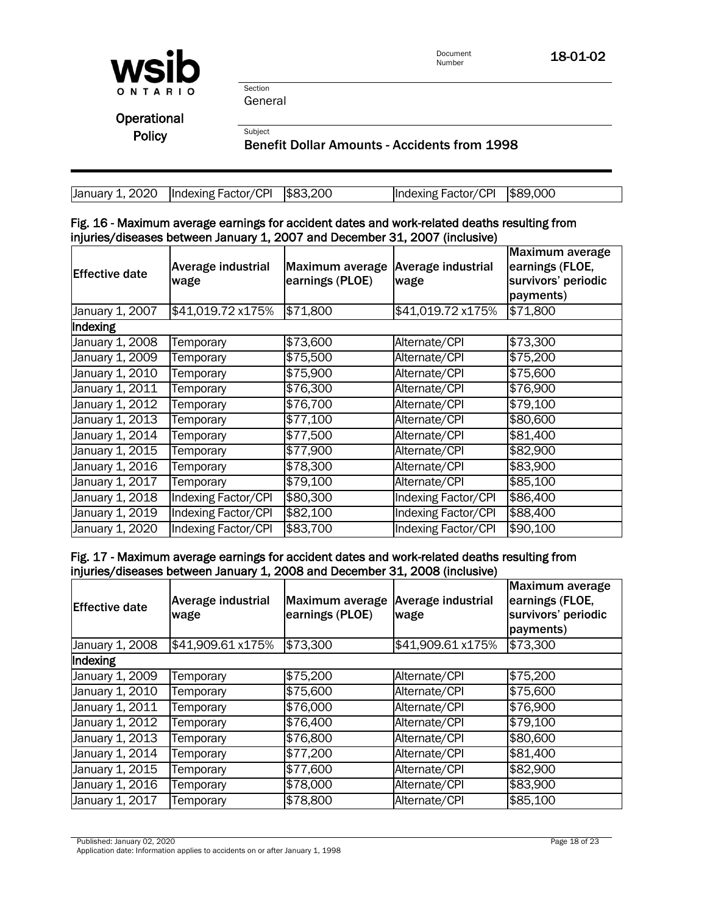

Section General

Subject

**Operational Policy** 

Benefit Dollar Amounts - Accidents from 1998

| $\mu$ January 1, 2020   Indexing Factor/CPI   \$83,200 | Indexing Factor/CPI 589,000 |  |
|--------------------------------------------------------|-----------------------------|--|

#### Fig. 16 - Maximum average earnings for accident dates and work-related deaths resulting from injuries/diseases between January 1, 2007 and December 31, 2007 (inclusive)

| <b>Effective date</b> | Average industrial<br>wage | Maximum average<br>earnings (PLOE) | Average industrial<br>wage | Maximum average<br>earnings (FLOE,<br>survivors' periodic<br>payments) |
|-----------------------|----------------------------|------------------------------------|----------------------------|------------------------------------------------------------------------|
| January 1, 2007       | \$41,019.72 x175%          | \$71,800                           | \$41,019.72 x175%          | \$71,800                                                               |
| Indexing              |                            |                                    |                            |                                                                        |
| January 1, 2008       | Temporary                  | \$73,600                           | Alternate/CPI              | \$73,300                                                               |
| January 1, 2009       | Temporary                  | \$75,500                           | Alternate/CPI              | \$75,200                                                               |
| January 1, 2010       | Temporary                  | \$75,900                           | Alternate/CPI              | \$75,600                                                               |
| January 1, 2011       | Temporary                  | \$76,300                           | Alternate/CPI              | \$76,900                                                               |
| January 1, 2012       | Temporary                  | \$76,700                           | Alternate/CPI              | \$79,100                                                               |
| January 1, 2013       | Temporary                  | \$77,100                           | Alternate/CPI              | \$80,600                                                               |
| January 1, 2014       | Temporary                  | \$77,500                           | Alternate/CPI              | \$81,400                                                               |
| January 1, 2015       | Temporary                  | \$77,900                           | Alternate/CPI              | \$82,900                                                               |
| January 1, 2016       | Temporary                  | \$78,300                           | Alternate/CPI              | \$83,900                                                               |
| January 1, 2017       | Temporary                  | \$79,100                           | Alternate/CPI              | \$85,100                                                               |
| January 1, 2018       | <b>Indexing Factor/CPI</b> | \$80,300                           | Indexing Factor/CPI        | \$86,400                                                               |
| January 1, 2019       | <b>Indexing Factor/CPI</b> | \$82,100                           | Indexing Factor/CPI        | \$88,400                                                               |
| January 1, 2020       | Indexing Factor/CPI        | \$83,700                           | Indexing Factor/CPI        | \$90,100                                                               |

Fig. 17 - Maximum average earnings for accident dates and work-related deaths resulting from injuries/diseases between January 1, 2008 and December 31, 2008 (inclusive)

| <b>Effective date</b> | Average industrial<br>wage | Maximum average<br>earnings (PLOE) | <b>Average industrial</b><br>wage | Maximum average<br>earnings (FLOE,<br>survivors' periodic<br>payments) |
|-----------------------|----------------------------|------------------------------------|-----------------------------------|------------------------------------------------------------------------|
| January 1, 2008       | \$41,909.61 x175%          | \$73,300                           | \$41,909.61 x175%                 | \$73,300                                                               |
| Indexing              |                            |                                    |                                   |                                                                        |
| January 1, 2009       | Temporary                  | \$75,200                           | Alternate/CPI                     | \$75,200                                                               |
| January 1, 2010       | Temporary                  | \$75,600                           | Alternate/CPI                     | \$75,600                                                               |
| January 1, 2011       | Temporary                  | \$76,000                           | Alternate/CPI                     | \$76,900                                                               |
| January 1, 2012       | Temporary                  | \$76,400                           | Alternate/CPI                     | \$79,100                                                               |
| January 1, 2013       | Temporary                  | \$76,800                           | Alternate/CPI                     | \$80,600                                                               |
| January 1, 2014       | Temporary                  | \$77,200                           | Alternate/CPI                     | \$81,400                                                               |
| January 1, 2015       | Temporary                  | \$77,600                           | Alternate/CPI                     | \$82,900                                                               |
| January 1, 2016       | Temporary                  | \$78,000                           | Alternate/CPI                     | \$83,900                                                               |
| January 1, 2017       | Temporary                  | \$78,800                           | Alternate/CPI                     | \$85,100                                                               |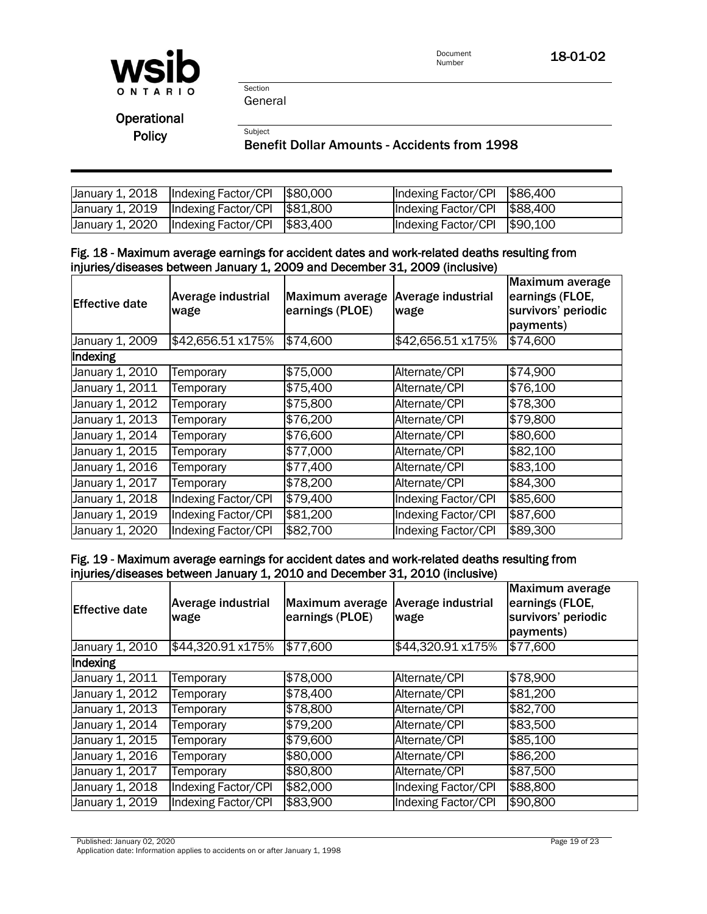

Section General

Subject

**Operational Policy** 

### Benefit Dollar Amounts - Accidents from 1998

| $\vert$ January 1, 2018 $\vert$ Indexing Factor/CPI $\vert$ \$80,000 | Indexing Factor/CPI 586,400              |  |
|----------------------------------------------------------------------|------------------------------------------|--|
| $\vert$ January 1, 2019 $\vert$ Indexing Factor/CPI $\vert$ \$81,800 | Indexing Factor/CPI $\frac{1}{3}$ 88,400 |  |
| $\mu$ January 1, 2020   Indexing Factor/CPI $\beta$ 83,400           | Indexing Factor/CPI 590,100              |  |

#### Fig. 18 - Maximum average earnings for accident dates and work-related deaths resulting from injuries/diseases between January 1, 2009 and December 31, 2009 (inclusive)

| <b>Effective date</b> | Average industrial<br>wage | <b>Maximum average</b><br>earnings (PLOE) | <b>Average industrial</b><br>wage | Maximum average<br>earnings (FLOE,<br>survivors' periodic<br>payments) |
|-----------------------|----------------------------|-------------------------------------------|-----------------------------------|------------------------------------------------------------------------|
| January 1, 2009       | \$42,656.51 x175%          | \$74,600                                  | \$42,656.51 x175%                 | \$74,600                                                               |
| Indexing              |                            |                                           |                                   |                                                                        |
| January 1, 2010       | Temporary                  | \$75,000                                  | Alternate/CPI                     | \$74,900                                                               |
| January 1, 2011       | Temporary                  | \$75,400                                  | Alternate/CPI                     | \$76,100                                                               |
| January 1, 2012       | Temporary                  | \$75,800                                  | Alternate/CPI                     | \$78,300                                                               |
| January 1, 2013       | Temporary                  | \$76,200                                  | Alternate/CPI                     | \$79,800                                                               |
| January 1, 2014       | Temporary                  | \$76,600                                  | Alternate/CPI                     | \$80,600                                                               |
| January 1, 2015       | Temporary                  | \$77,000                                  | Alternate/CPI                     | \$82,100                                                               |
| January 1, 2016       | Temporary                  | \$77,400                                  | Alternate/CPI                     | \$83,100                                                               |
| January 1, 2017       | Temporary                  | \$78,200                                  | Alternate/CPI                     | \$84,300                                                               |
| January 1, 2018       | Indexing Factor/CPI        | \$79,400                                  | Indexing Factor/CPI               | \$85,600                                                               |
| January 1, 2019       | Indexing Factor/CPI        | \$81,200                                  | Indexing Factor/CPI               | \$87,600                                                               |
| January 1, 2020       | Indexing Factor/CPI        | \$82,700                                  | Indexing Factor/CPI               | \$89,300                                                               |

## Fig. 19 - Maximum average earnings for accident dates and work-related deaths resulting from injuries/diseases between January 1, 2010 and December 31, 2010 (inclusive)

| <b>Effective date</b>        | <b>Average industrial</b><br>wage | <b>Maximum average</b><br>earnings (PLOE) | Average industrial<br>wage | Maximum average<br>earnings (FLOE,<br>survivors' periodic<br>payments) |
|------------------------------|-----------------------------------|-------------------------------------------|----------------------------|------------------------------------------------------------------------|
| January 1, 2010              | \$44,320.91 x175%                 | \$77,600                                  | \$44,320.91 x175%          | \$77,600                                                               |
| Indexing                     |                                   |                                           |                            |                                                                        |
| January 1, 2011              | Temporary                         | \$78,000                                  | Alternate/CPI              | \$78,900                                                               |
| January 1, 2012              | Temporary                         | \$78,400                                  | Alternate/CPI              | \$81,200                                                               |
| January 1, 2013              | Temporary                         | \$78,800                                  | Alternate/CPI              | \$82,700                                                               |
| January 1, 2014              | Temporary                         | \$79,200                                  | Alternate/CPI              | \$83,500                                                               |
| January 1, 2015              | Temporary                         | \$79,600                                  | Alternate/CPI              | \$85,100                                                               |
| January 1, 2016              | Temporary                         | \$80,000                                  | Alternate/CPI              | \$86,200                                                               |
| January 1, $20\overline{17}$ | Temporary                         | \$80,800                                  | Alternate/CPI              | \$87,500                                                               |
| January 1, 2018              | Indexing Factor/CPI               | \$82,000                                  | Indexing Factor/CPI        | \$88,800                                                               |
| January 1, 2019              | Indexing Factor/CPI               | \$83,900                                  | Indexing Factor/CPI        | \$90,800                                                               |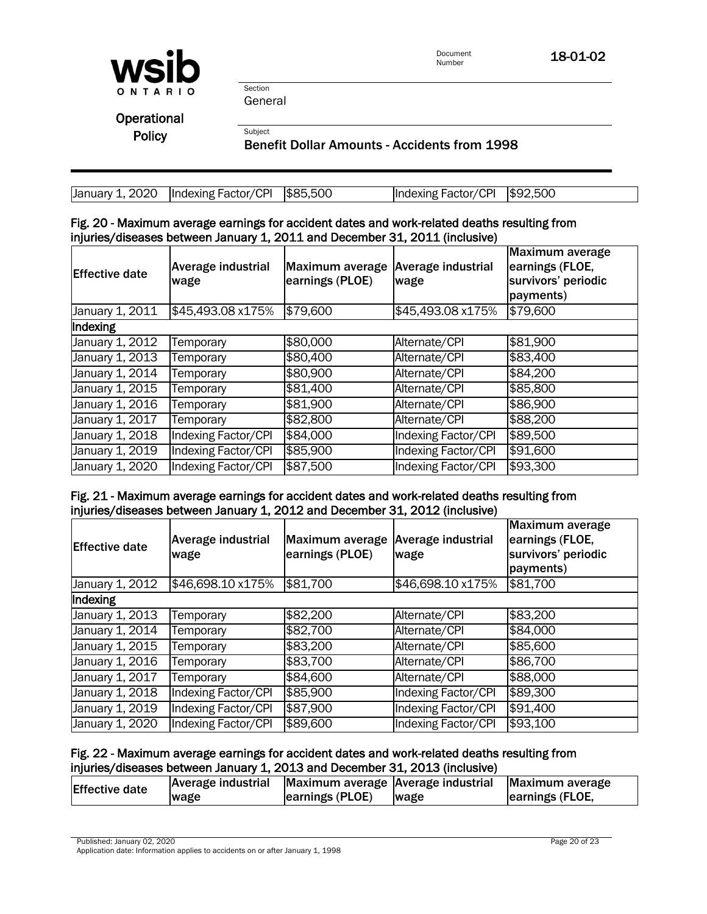

Document **18-01-02**<br>Number

Section General

**Subject** 

**Operational Policy** 

Benefit Dollar Amounts - Accidents from 1998

| $\mu$ January 1, 2020   Indexing Factor/CPI   \$85,500 | Indexing Factor/CPI \$92,500 |  |
|--------------------------------------------------------|------------------------------|--|

#### Fig. 20 - Maximum average earnings for accident dates and work-related deaths resulting from injuries/diseases between January 1, 2011 and December 31, 2011 (inclusive)

| <b>Effective date</b> | <b>Average industrial</b><br>wage | Maximum average<br>earnings (PLOE) | <b>Average industrial</b><br>wage | Maximum average<br>earnings (FLOE,<br>survivors' periodic<br>payments) |
|-----------------------|-----------------------------------|------------------------------------|-----------------------------------|------------------------------------------------------------------------|
| January 1, 2011       | \$45,493.08 x175%                 | \$79,600                           | \$45,493.08 x175%                 | \$79,600                                                               |
| Indexing              |                                   |                                    |                                   |                                                                        |
| January 1, 2012       | Temporary                         | \$80,000                           | Alternate/CPI                     | \$81,900                                                               |
| January 1, 2013       | Temporary                         | \$80,400                           | Alternate/CPI                     | \$83,400                                                               |
| January 1, 2014       | Temporary                         | \$80,900                           | Alternate/CPI                     | \$84,200                                                               |
| January 1, 2015       | Temporary                         | \$81,400                           | Alternate/CPI                     | \$85,800                                                               |
| January 1, 2016       | Temporary                         | \$81,900                           | Alternate/CPI                     | \$86,900                                                               |
| January 1, 2017       | Temporary                         | \$82,800                           | Alternate/CPI                     | \$88,200                                                               |
| January 1, 2018       | Indexing Factor/CPI               | \$84,000                           | Indexing Factor/CPI               | \$89,500                                                               |
| January 1, 2019       | Indexing Factor/CPI               | \$85,900                           | Indexing Factor/CPI               | \$91,600                                                               |
| January 1, 2020       | Indexing Factor/CPI               | \$87,500                           | Indexing Factor/CPI               | \$93,300                                                               |

## Fig. 21 - Maximum average earnings for accident dates and work-related deaths resulting from injuries/diseases between January 1, 2012 and December 31, 2012 (inclusive)

| <b>Effective date</b>        | Average industrial<br>wage | Maximum average<br>earnings (PLOE) | <b>Average industrial</b><br>wage | Maximum average<br>earnings (FLOE,<br>survivors' periodic<br>payments) |  |
|------------------------------|----------------------------|------------------------------------|-----------------------------------|------------------------------------------------------------------------|--|
| January 1, 2012              | \$46,698.10 x175%          | \$81,700                           | \$46,698.10 x175%                 | \$81,700                                                               |  |
| Indexing                     |                            |                                    |                                   |                                                                        |  |
| January 1, $20\overline{13}$ | Temporary                  | \$82,200                           | Alternate/CPI                     | \$83,200                                                               |  |
| January 1, 2014              | Temporary                  | \$82,700                           | Alternate/CPI                     | \$84,000                                                               |  |
| January 1, 2015              | Temporary                  | \$83,200                           | Alternate/CPI                     | \$85,600                                                               |  |
| January 1, 2016              | Temporary                  | \$83,700                           | Alternate/CPI                     | \$86,700                                                               |  |
| January 1, 2017              | Temporary                  | \$84,600                           | Alternate/CPI                     | \$88,000                                                               |  |
| January 1, 2018              | <b>Indexing Factor/CPI</b> | \$85,900                           | Indexing Factor/CPI               | \$89,300                                                               |  |
| January 1, 2019              | Indexing Factor/CPI        | \$87,900                           | <b>Indexing Factor/CPI</b>        | \$91,400                                                               |  |
| January 1, 2020              | Indexing Factor/CPI        | \$89,600                           | Indexing Factor/CPI               | \$93,100                                                               |  |

### Fig. 22 - Maximum average earnings for accident dates and work-related deaths resulting from injuries/diseases between January 1, 2013 and December 31, 2013 (inclusive)

| <b>Effective date</b> | Average industrial Maximum average Average industrial |                 |      | Maximum average |
|-----------------------|-------------------------------------------------------|-----------------|------|-----------------|
|                       | wage                                                  | earnings (PLOE) | wage | earnings (FLOE, |

Published: January 02, 2020 Page 20 of 23 Application date: Information applies to accidents on or after January 1, 1998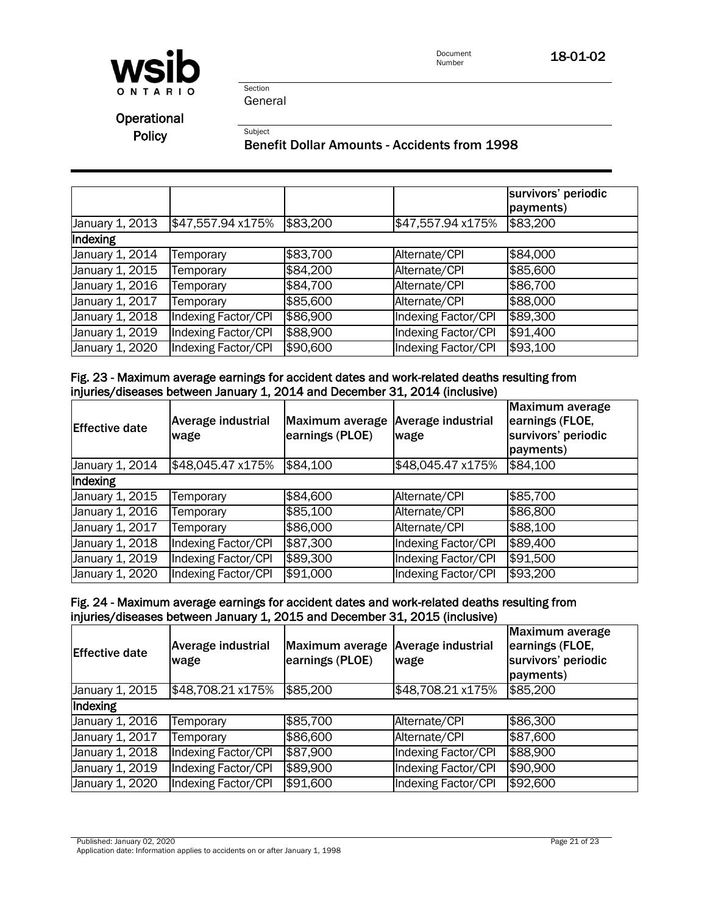

Document<br>Number 18-01-02

Section General

**Subject** 

**Operational Policy** 

Benefit Dollar Amounts - Accidents from 1998

|                 |                     |          |                     | survivors' periodic<br>payments) |
|-----------------|---------------------|----------|---------------------|----------------------------------|
| January 1, 2013 | \$47,557.94 x175%   | \$83,200 | \$47,557.94 x175%   | \$83,200                         |
| Indexing        |                     |          |                     |                                  |
| January 1, 2014 | Temporary           | \$83,700 | Alternate/CPI       | \$84,000                         |
| January 1, 2015 | Temporary           | \$84,200 | Alternate/CPI       | \$85,600                         |
| January 1, 2016 | Temporary           | \$84,700 | Alternate/CPI       | \$86,700                         |
| January 1, 2017 | Temporary           | \$85,600 | Alternate/CPI       | \$88,000                         |
| January 1, 2018 | Indexing Factor/CPI | \$86,900 | Indexing Factor/CPI | \$89,300                         |
| January 1, 2019 | Indexing Factor/CPI | \$88,900 | Indexing Factor/CPI | \$91,400                         |
| January 1, 2020 | Indexing Factor/CPI | \$90,600 | Indexing Factor/CPI | \$93,100                         |

## Fig. 23 - Maximum average earnings for accident dates and work-related deaths resulting from injuries/diseases between January 1, 2014 and December 31, 2014 (inclusive)

| <b>Effective date</b> | Average industrial<br>wage | Maximum average<br>earnings (PLOE) | <b>Average industrial</b><br>wage | Maximum average<br>earnings (FLOE,<br>survivors' periodic<br>payments) |
|-----------------------|----------------------------|------------------------------------|-----------------------------------|------------------------------------------------------------------------|
| January 1, 2014       | \$48,045.47 x175%          | \$84,100                           | \$48,045.47 x175%                 | \$84,100                                                               |
| Indexing              |                            |                                    |                                   |                                                                        |
| January 1, 2015       | Temporary                  | \$84,600                           | Alternate/CPI                     | \$85,700                                                               |
| January 1, 2016       | Temporary                  | \$85,100                           | Alternate/CPI                     | \$86,800                                                               |
| January 1, 2017       | Temporary                  | \$86,000                           | Alternate/CPI                     | \$88,100                                                               |
| January 1, 2018       | Indexing Factor/CPI        | \$87,300                           | Indexing Factor/CPI               | \$89,400                                                               |
| January 1, 2019       | Indexing Factor/CPI        | \$89,300                           | Indexing Factor/CPI               | \$91,500                                                               |
| January 1, 2020       | Indexing Factor/CPI        | \$91,000                           | Indexing Factor/CPI               | \$93,200                                                               |

## Fig. 24 - Maximum average earnings for accident dates and work-related deaths resulting from injuries/diseases between January 1, 2015 and December 31, 2015 (inclusive)

| <b>Effective date</b> | <b>Average industrial</b><br>wage | Maximum average<br>earnings (PLOE) | Average industrial<br>wage | Maximum average<br>earnings (FLOE,<br>survivors' periodic<br>payments) |
|-----------------------|-----------------------------------|------------------------------------|----------------------------|------------------------------------------------------------------------|
| January 1, 2015       | \$48,708.21 x175%                 | \$85,200                           | \$48,708.21 x175%          | \$85,200                                                               |
| Indexing              |                                   |                                    |                            |                                                                        |
| January 1, 2016       | Temporary                         | \$85,700                           | Alternate/CPI              | \$86,300                                                               |
| January 1, 2017       | Temporary                         | \$86,600                           | Alternate/CPI              | \$87,600                                                               |
| January 1, 2018       | Indexing Factor/CPI               | \$87,900                           | Indexing Factor/CPI        | \$88,900                                                               |
| January 1, 2019       | Indexing Factor/CPI               | \$89,900                           | Indexing Factor/CPI        | \$90,900                                                               |
| January 1, 2020       | Indexing Factor/CPI               | \$91,600                           | Indexing Factor/CPI        | \$92,600                                                               |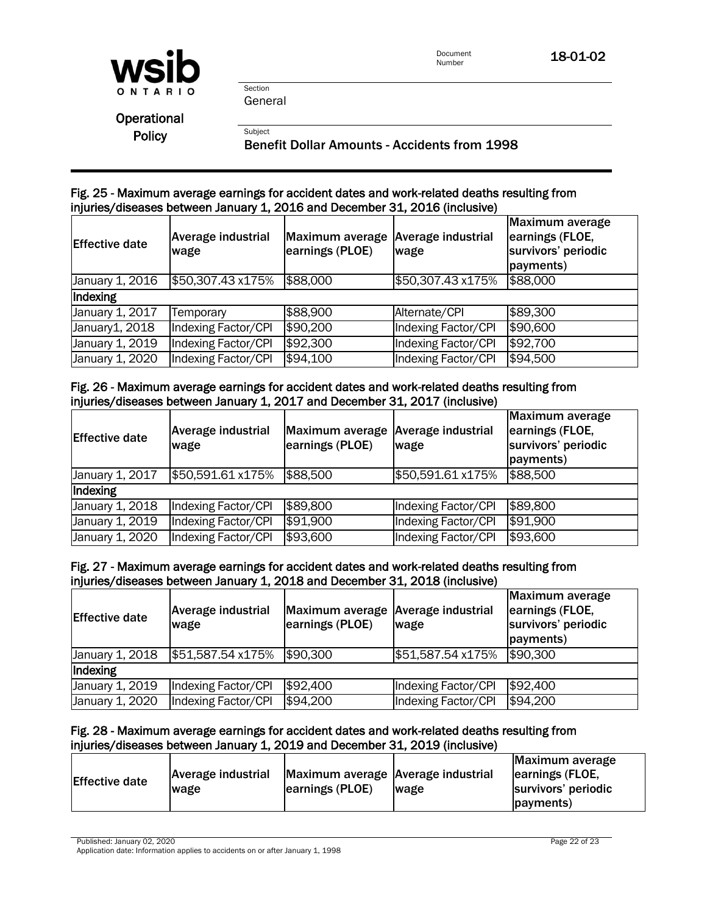

General

Section

**Subject** 

**Operational Policy** 

Benefit Dollar Amounts - Accidents from 1998

## Fig. 25 - Maximum average earnings for accident dates and work-related deaths resulting from injuries/diseases between January 1, 2016 and December 31, 2016 (inclusive)

| <b>Effective date</b> | Average industrial<br>wage | Maximum average Average industrial<br>earnings (PLOE) | wage                | <b>Maximum average</b><br>earnings (FLOE,<br>survivors' periodic<br>payments) |
|-----------------------|----------------------------|-------------------------------------------------------|---------------------|-------------------------------------------------------------------------------|
| January 1, 2016       | \$50,307.43 x175%          | \$88,000                                              | \$50,307.43 x175%   | \$88,000                                                                      |
| Indexing              |                            |                                                       |                     |                                                                               |
| January 1, 2017       | Temporary                  | \$88,900                                              | Alternate/CPI       | \$89,300                                                                      |
| January1, 2018        | Indexing Factor/CPI        | \$90,200                                              | Indexing Factor/CPI | \$90,600                                                                      |
| January 1, 2019       | Indexing Factor/CPI        | \$92,300                                              | Indexing Factor/CPI | \$92,700                                                                      |
| January 1, 2020       | Indexing Factor/CPI        | \$94,100                                              | Indexing Factor/CPI | \$94,500                                                                      |

# Fig. 26 - Maximum average earnings for accident dates and work-related deaths resulting from injuries/diseases between January 1, 2017 and December 31, 2017 (inclusive)

| <b>Effective date</b> | <b>Average industrial</b><br>wage | Maximum average<br>earnings (PLOE) | <b>Average industrial</b><br>wage | Maximum average<br>earnings (FLOE,<br>survivors' periodic<br>payments) |
|-----------------------|-----------------------------------|------------------------------------|-----------------------------------|------------------------------------------------------------------------|
| January 1, 2017       | \$50,591.61 x175%                 | \$88,500                           | \$50,591.61 x175%                 | \$88,500                                                               |
| Indexing              |                                   |                                    |                                   |                                                                        |
| January 1, 2018       | Indexing Factor/CPI               | \$89,800                           | Indexing Factor/CPI               | \$89,800                                                               |
| January 1, 2019       | Indexing Factor/CPI               | \$91,900                           | Indexing Factor/CPI               | \$91,900                                                               |
| January 1, 2020       | Indexing Factor/CPI               | \$93,600                           | Indexing Factor/CPI               | \$93,600                                                               |

## Fig. 27 - Maximum average earnings for accident dates and work-related deaths resulting from injuries/diseases between January 1, 2018 and December 31, 2018 (inclusive)

| <b>Effective date</b> | <b>Average industrial</b><br>wage | Maximum average Average industrial<br>earnings (PLOE) | wage                | Maximum average<br>earnings (FLOE,<br>survivors' periodic<br>payments) |
|-----------------------|-----------------------------------|-------------------------------------------------------|---------------------|------------------------------------------------------------------------|
| January 1, 2018       | \$51,587.54 x175%                 | \$90,300                                              | \$51,587.54 x175%   | \$90,300                                                               |
| Indexing              |                                   |                                                       |                     |                                                                        |
| January 1, 2019       | Indexing Factor/CPI               | \$92,400                                              | Indexing Factor/CPI | \$92,400                                                               |
| January 1, 2020       | Indexing Factor/CPI               | \$94,200                                              | Indexing Factor/CPI | \$94,200                                                               |

### Fig. 28 - Maximum average earnings for accident dates and work-related deaths resulting from injuries/diseases between January 1, 2019 and December 31, 2019 (inclusive)

| Average industrial<br><b>Effective date</b><br>wage | Maximum average Average industrial<br>earnings (PLOE) | <b>Iwage</b> | Maximum average<br>earnings (FLOE,<br>survivors' periodic<br>(payments) |
|-----------------------------------------------------|-------------------------------------------------------|--------------|-------------------------------------------------------------------------|
|-----------------------------------------------------|-------------------------------------------------------|--------------|-------------------------------------------------------------------------|

Published: January 02, 2020 **Page 22 of 23** 

Application date: Information applies to accidents on or after January 1, 1998